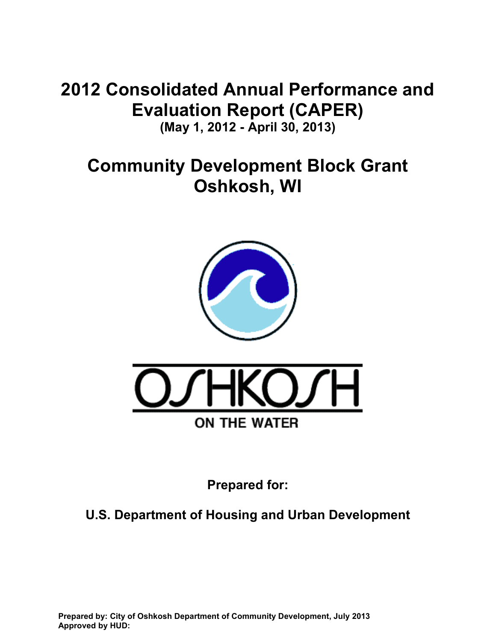# **2012 Consolidated Annual Performance and Evaluation Report (CAPER)**

**(May 1, 2012 - April 30, 2013)** 

# **Community Development Block Grant Oshkosh, WI**





**Prepared for:** 

**U.S. Department of Housing and Urban Development**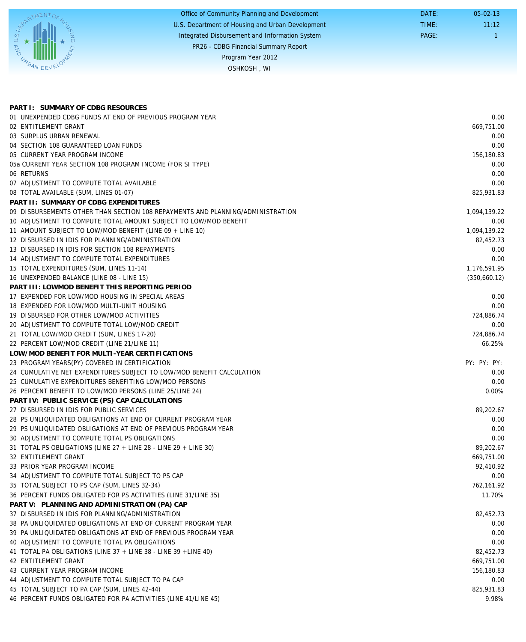|                             | Office of Community Planning and Development     | DATE: | $05 - 02 - 13$ |
|-----------------------------|--------------------------------------------------|-------|----------------|
|                             | U.S. Department of Housing and Urban Development | TIME: | 11:12          |
| $S_{\rho}$                  | Integrated Disbursement and Information System   | PAGE: |                |
| $\mathcal{Z}_{\mathcal{S}}$ | PR26 - CDBG Financial Summary Report             |       |                |
|                             | Program Year 2012                                |       |                |
| <b>CABAN DEVEL</b>          | OSHKOSH, WI                                      |       |                |
|                             |                                                  |       |                |

| PART I: SUMMARY OF CDBG RESOURCES                                              |              |
|--------------------------------------------------------------------------------|--------------|
| 01 UNEXPENDED CDBG FUNDS AT END OF PREVIOUS PROGRAM YEAR                       | 0.00         |
| 02 ENTITLEMENT GRANT                                                           | 669,751.00   |
| 03 SURPLUS URBAN RENEWAL                                                       | 0.00         |
| 04 SECTION 108 GUARANTEED LOAN FUNDS                                           | 0.00         |
| 05 CURRENT YEAR PROGRAM INCOME                                                 | 156,180.83   |
| 05a CURRENT YEAR SECTION 108 PROGRAM INCOME (FOR SI TYPE)                      | 0.00         |
| 06 RETURNS                                                                     | 0.00         |
| 07 ADJUSTMENT TO COMPUTE TOTAL AVAILABLE                                       | 0.00         |
| 08 TOTAL AVAILABLE (SUM, LINES 01-07)                                          | 825,931.83   |
| PART II: SUMMARY OF CDBG EXPENDITURES                                          |              |
| 09 DISBURSEMENTS OTHER THAN SECTION 108 REPAYMENTS AND PLANNING/ADMINISTRATION | 1,094,139.22 |
| 10 ADJUSTMENT TO COMPUTE TOTAL AMOUNT SUBJECT TO LOW/MOD BENEFIT               | 0.00         |
| 11 AMOUNT SUBJECT TO LOW/MOD BENEFIT (LINE 09 + LINE 10)                       | 1,094,139.22 |
| 12 DISBURSED IN IDIS FOR PLANNING/ADMINISTRATION                               | 82,452.73    |
| 13 DISBURSED IN IDIS FOR SECTION 108 REPAYMENTS                                | 0.00         |
| 14 ADJUSTMENT TO COMPUTE TOTAL EXPENDITURES                                    | 0.00         |
| 15 TOTAL EXPENDITURES (SUM, LINES 11-14)                                       | 1,176,591.95 |
| 16 UNEXPENDED BALANCE (LINE 08 - LINE 15)                                      | (350,660.12) |
| PART III: LOWMOD BENEFIT THIS REPORTING PERIOD                                 |              |
| 17 EXPENDED FOR LOW/MOD HOUSING IN SPECIAL AREAS                               | 0.00         |
| 18 EXPENDED FOR LOW/MOD MULTI-UNIT HOUSING                                     | 0.00         |
| 19 DISBURSED FOR OTHER LOW/MOD ACTIVITIES                                      | 724,886.74   |
| 20 ADJUSTMENT TO COMPUTE TOTAL LOW/MOD CREDIT                                  | 0.00         |
| 21 TOTAL LOW/MOD CREDIT (SUM, LINES 17-20)                                     | 724,886.74   |
| 22 PERCENT LOW/MOD CREDIT (LINE 21/LINE 11)                                    | 66.25%       |
| LOW/MOD BENEFIT FOR MULTI-YEAR CERTIFICATIONS                                  |              |
| 23 PROGRAM YEARS(PY) COVERED IN CERTIFICATION                                  | PY: PY: PY:  |
| 24 CUMULATIVE NET EXPENDITURES SUBJECT TO LOW/MOD BENEFIT CALCULATION          | 0.00         |
| 25 CUMULATIVE EXPENDITURES BENEFITING LOW/MOD PERSONS                          | 0.00         |
| 26 PERCENT BENEFIT TO LOW/MOD PERSONS (LINE 25/LINE 24)                        | $0.00\%$     |
| PART IV: PUBLIC SERVICE (PS) CAP CALCULATIONS                                  |              |
| 27 DISBURSED IN IDIS FOR PUBLIC SERVICES                                       | 89,202.67    |
| 28 PS UNLIQUIDATED OBLIGATIONS AT END OF CURRENT PROGRAM YEAR                  | 0.00         |
| 29 PS UNLIQUIDATED OBLIGATIONS AT END OF PREVIOUS PROGRAM YEAR                 | 0.00         |
| 30 ADJUSTMENT TO COMPUTE TOTAL PS OBLIGATIONS                                  | 0.00         |
| 31 TOTAL PS OBLIGATIONS (LINE 27 + LINE 28 - LINE 29 + LINE 30)                | 89,202.67    |
| 32 ENTITLEMENT GRANT                                                           | 669,751.00   |
| 33 PRIOR YEAR PROGRAM INCOME                                                   | 92,410.92    |
| 34 ADJUSTMENT TO COMPUTE TOTAL SUBJECT TO PS CAP                               | 0.00         |
| 35 TOTAL SUBJECT TO PS CAP (SUM, LINES 32-34)                                  | 762,161.92   |
| 36 PERCENT FUNDS OBLIGATED FOR PS ACTIVITIES (LINE 31/LINE 35)                 | 11.70%       |
| PART V: PLANNING AND ADMINISTRATION (PA) CAP                                   |              |
| 37 DISBURSED IN IDIS FOR PLANNING/ADMINISTRATION                               | 82,452.73    |
| 38 PA UNLIQUIDATED OBLIGATIONS AT END OF CURRENT PROGRAM YEAR                  | 0.00         |
| 39 PA UNLIQUIDATED OBLIGATIONS AT END OF PREVIOUS PROGRAM YEAR                 | 0.00         |
| 40 ADJUSTMENT TO COMPUTE TOTAL PA OBLIGATIONS                                  | 0.00         |
| 41 TOTAL PA OBLIGATIONS (LINE 37 + LINE 38 - LINE 39 + LINE 40)                | 82,452.73    |
| 42 ENTITLEMENT GRANT                                                           | 669,751.00   |
| 43 CURRENT YEAR PROGRAM INCOME                                                 | 156,180.83   |
| 44 ADJUSTMENT TO COMPUTE TOTAL SUBJECT TO PA CAP                               | 0.00         |
| 45 TOTAL SUBJECT TO PA CAP (SUM, LINES 42-44)                                  | 825,931.83   |
| 46 PERCENT FUNDS OBLIGATED FOR PA ACTIVITIES (LINE 41/LINE 45)                 | 9.98%        |
|                                                                                |              |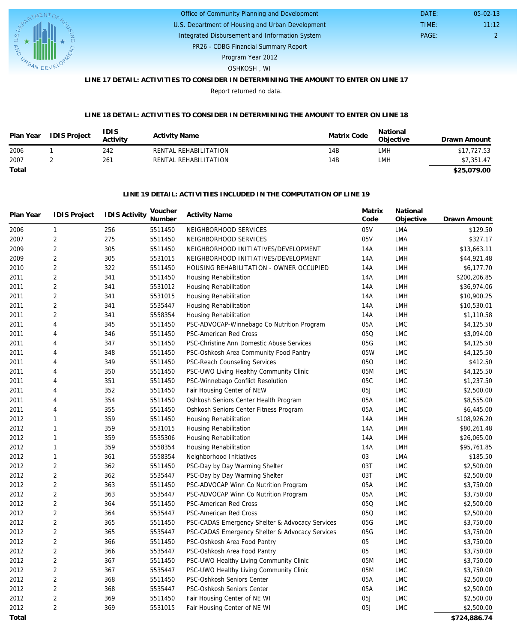

#### U.S. Department of Housing and Urban Development Office of Community Planning and Development Integrated Disbursement and Information System DATE: TIME: PAGE: 2 11:12 05-02-13

PR26 - CDBG Financial Summary Report

Program Year 2012

#### OSHKOSH , WI

# **LINE 17 DETAIL: ACTIVITIES TO CONSIDER IN DETERMINING THE AMOUNT TO ENTER ON LINE 17**

Report returned no data.

#### **LINE 18 DETAIL: ACTIVITIES TO CONSIDER IN DETERMINING THE AMOUNT TO ENTER ON LINE 18**

| Plan Year | <b>IDIS Project</b> | 'DIS<br>Activity | <b>Activity Name</b>  | Matrix Code | National<br>Objective | Drawn Amount |
|-----------|---------------------|------------------|-----------------------|-------------|-----------------------|--------------|
| 2006      |                     | 242              | RENTAL REHABILITATION | 14B         | LMH                   | \$17,727.53  |
| 2007      |                     | 261              | RENTAL REHABILITATION | 14B         | <b>LMH</b>            | \$7,351.47   |
| Total     |                     |                  |                       |             |                       | \$25,079.00  |

#### **LINE 19 DETAIL: ACTIVITIES INCLUDED IN THE COMPUTATION OF LINE 19**

| Plan Year | <b>IDIS Project</b> | <b>IDIS Activity</b> | Voucher<br>Number | <b>Activity Name</b>                            | Matrix<br>Code | National<br>Objective       | Drawn Amount |
|-----------|---------------------|----------------------|-------------------|-------------------------------------------------|----------------|-----------------------------|--------------|
| 2006      | $\mathbf{1}$        | 256                  | 5511450           | NEIGHBORHOOD SERVICES                           | 05V            | <b>LMA</b>                  | \$129.50     |
| 2007      | $\overline{2}$      | 275                  | 5511450           | NEIGHBORHOOD SERVICES                           | 05V            | <b>LMA</b>                  | \$327.17     |
| 2009      | $\overline{2}$      | 305                  | 5511450           | NEIGHBORHOOD INITIATIVES/DEVELOPMENT            | 14A            | LMH                         | \$13,663.11  |
| 2009      | $\overline{2}$      | 305                  | 5531015           | NEIGHBORHOOD INITIATIVES/DEVELOPMENT            | 14A            | <b>LMH</b>                  | \$44,921.48  |
| 2010      | $\overline{2}$      | 322                  | 5511450           | HOUSING REHABILITATION - OWNER OCCUPIED         | 14A            | <b>LMH</b>                  | \$6,177.70   |
| 2011      | 2                   | 341                  | 5511450           | Housing Rehabilitation                          | 14A            | <b>LMH</b>                  | \$200,206.85 |
| 2011      | $\overline{2}$      | 341                  | 5531012           | Housing Rehabilitation                          | 14A            | <b>LMH</b>                  | \$36,974.06  |
| 2011      | $\sqrt{2}$          | 341                  | 5531015           | Housing Rehabilitation                          | 14A            | <b>LMH</b>                  | \$10,900.25  |
| 2011      | $\sqrt{2}$          | 341                  | 5535447           | Housing Rehabilitation                          | 14A            | <b>LMH</b>                  | \$10,530.01  |
| 2011      | $\sqrt{2}$          | 341                  | 5558354           | Housing Rehabilitation                          | 14A            | <b>LMH</b>                  | \$1,110.58   |
| 2011      | $\overline{4}$      | 345                  | 5511450           | PSC-ADVOCAP-Winnebago Co Nutrition Program      | 05A            | <b>LMC</b>                  | \$4,125.50   |
| 2011      | $\overline{4}$      | 346                  | 5511450           | PSC-American Red Cross                          | 05Q            | <b>LMC</b>                  | \$3,094.00   |
| 2011      | $\overline{4}$      | 347                  | 5511450           | PSC-Christine Ann Domestic Abuse Services       | 05G            | <b>LMC</b>                  | \$4,125.50   |
| 2011      | $\overline{4}$      | 348                  | 5511450           | PSC-Oshkosh Area Community Food Pantry          | 05W            | <b>LMC</b>                  | \$4,125.50   |
| 2011      | $\overline{4}$      | 349                  | 5511450           | PSC-Reach Counseling Services                   | 050            | <b>LMC</b>                  | \$412.50     |
| 2011      | $\overline{4}$      | 350                  | 5511450           | PSC-UWO Living Healthy Community Clinic         | 05M            | <b>LMC</b>                  | \$4,125.50   |
| 2011      | $\overline{4}$      | 351                  | 5511450           | PSC-Winnebago Conflict Resolution               | 05C            | <b>LMC</b>                  | \$1,237.50   |
| 2011      | $\overline{4}$      | 352                  | 5511450           | Fair Housing Center of NEW                      | 05J            | <b>LMC</b>                  | \$2,500.00   |
| 2011      | $\overline{4}$      | 354                  | 5511450           | Oshkosh Seniors Center Health Program           | 05A            | <b>LMC</b>                  | \$8,555.00   |
| 2011      | $\overline{4}$      | 355                  | 5511450           | Oshkosh Seniors Center Fitness Program          | 05A            | <b>LMC</b>                  | \$6,445.00   |
| 2012      | $\mathbf{1}$        | 359                  | 5511450           | Housing Rehabilitation                          | 14A            | LMH                         | \$108,926.20 |
| 2012      | $\mathbf{1}$        | 359                  | 5531015           | Housing Rehabilitation                          | 14A            | <b>LMH</b>                  | \$80,261.48  |
| 2012      | $\mathbf{1}$        | 359                  | 5535306           | Housing Rehabilitation                          | 14A            | <b>LMH</b>                  | \$26,065.00  |
| 2012      | $\mathbf{1}$        | 359                  | 5558354           | Housing Rehabilitation                          | 14A            | LMH                         | \$95,761.85  |
| 2012      | $\mathbf{1}$        | 361                  | 5558354           | Neighborhood Initiatives                        | 03             | <b>LMA</b>                  | \$185.50     |
| 2012      | $\overline{2}$      | 362                  | 5511450           | PSC-Day by Day Warming Shelter                  | 03T            | <b>LMC</b>                  | \$2,500.00   |
| 2012      | $\overline{2}$      | 362                  | 5535447           | PSC-Day by Day Warming Shelter                  | 03T            | <b>LMC</b>                  | \$2,500.00   |
| 2012      | $\overline{2}$      | 363                  | 5511450           | PSC-ADVOCAP Winn Co Nutrition Program           | 05A            | <b>LMC</b>                  | \$3,750.00   |
| 2012      | $\overline{2}$      | 363                  | 5535447           | PSC-ADVOCAP Winn Co Nutrition Program           | 05A            | <b>LMC</b>                  | \$3,750.00   |
| 2012      | $\overline{2}$      | 364                  | 5511450           | PSC-American Red Cross                          | 05Q            | <b>LMC</b>                  | \$2,500.00   |
| 2012      | $\overline{2}$      | 364                  | 5535447           | PSC-American Red Cross                          | 05Q            | <b>LMC</b>                  | \$2,500.00   |
| 2012      | $\sqrt{2}$          | 365                  | 5511450           | PSC-CADAS Emergency Shelter & Advocacy Services | 05G            | $\ensuremath{\mathsf{LMC}}$ | \$3,750.00   |
| 2012      | $\overline{2}$      | 365                  | 5535447           | PSC-CADAS Emergency Shelter & Advocacy Services | 05G            | <b>LMC</b>                  | \$3,750.00   |
| 2012      | $\sqrt{2}$          | 366                  | 5511450           | PSC-Oshkosh Area Food Pantry                    | 05             | <b>LMC</b>                  | \$3,750.00   |
| 2012      | $\sqrt{2}$          | 366                  | 5535447           | PSC-Oshkosh Area Food Pantry                    | 05             | <b>LMC</b>                  | \$3,750.00   |
| 2012      | $\sqrt{2}$          | 367                  | 5511450           | PSC-UWO Healthy Living Community Clinic         | 05M            | <b>LMC</b>                  | \$3,750.00   |
| 2012      | $\overline{2}$      | 367                  | 5535447           | PSC-UWO Healthy Living Community Clinic         | 05M            | <b>LMC</b>                  | \$3,750.00   |
| 2012      | $\overline{2}$      | 368                  | 5511450           | PSC-Oshkosh Seniors Center                      | 05A            | <b>LMC</b>                  | \$2,500.00   |
| 2012      | 2                   | 368                  | 5535447           | PSC-Oshkosh Seniors Center                      | 05A            | <b>LMC</b>                  | \$2,500.00   |
| 2012      | $\overline{2}$      | 369                  | 5511450           | Fair Housing Center of NE WI                    | 05J            | <b>LMC</b>                  | \$2,500.00   |
| 2012      | $\overline{2}$      | 369                  | 5531015           | Fair Housing Center of NE WI                    | 05J            | <b>LMC</b>                  | \$2,500.00   |
| Total     |                     |                      |                   |                                                 |                |                             | \$724,886.74 |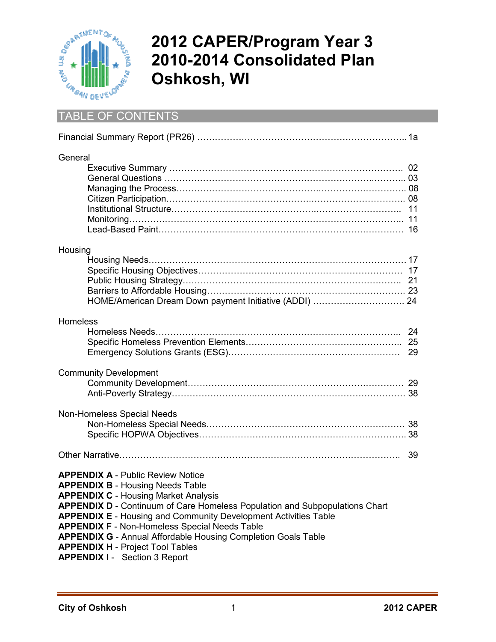

# **2012 CAPER/Program Year 3 2010-2014 Consolidated Plan Oshkosh, WI**

# TABLE OF CONTENTS

| General                                                                                                                                                                                                                                                                                                                                                                                                                                                                                                        |    |
|----------------------------------------------------------------------------------------------------------------------------------------------------------------------------------------------------------------------------------------------------------------------------------------------------------------------------------------------------------------------------------------------------------------------------------------------------------------------------------------------------------------|----|
| Housing<br>HOME/American Dream Down payment Initiative (ADDI)  24                                                                                                                                                                                                                                                                                                                                                                                                                                              |    |
| Homeless                                                                                                                                                                                                                                                                                                                                                                                                                                                                                                       |    |
| <b>Community Development</b>                                                                                                                                                                                                                                                                                                                                                                                                                                                                                   |    |
| Non-Homeless Special Needs                                                                                                                                                                                                                                                                                                                                                                                                                                                                                     |    |
|                                                                                                                                                                                                                                                                                                                                                                                                                                                                                                                | 39 |
| <b>APPENDIX A - Public Review Notice</b><br><b>APPENDIX B - Housing Needs Table</b><br><b>APPENDIX C - Housing Market Analysis</b><br>APPENDIX D - Continuum of Care Homeless Population and Subpopulations Chart<br><b>APPENDIX E</b> - Housing and Community Development Activities Table<br><b>APPENDIX F - Non-Homeless Special Needs Table</b><br><b>APPENDIX G</b> - Annual Affordable Housing Completion Goals Table<br><b>APPENDIX H - Project Tool Tables</b><br><b>APPENDIX I - Section 3 Report</b> |    |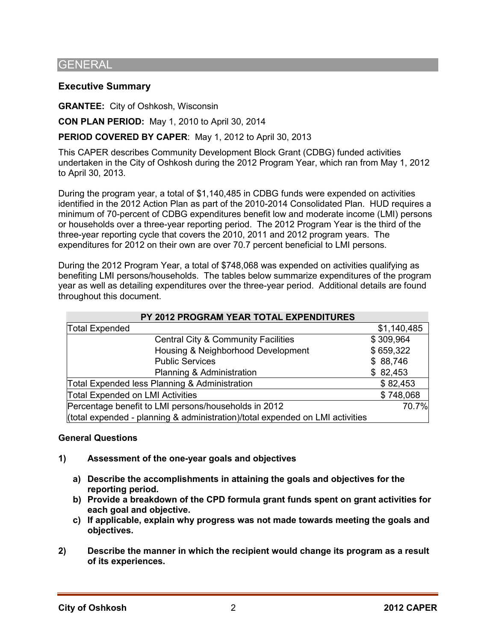# **GENERAL**

# **Executive Summary**

**GRANTEE:** City of Oshkosh, Wisconsin

**CON PLAN PERIOD:** May 1, 2010 to April 30, 2014

# **PERIOD COVERED BY CAPER**: May 1, 2012 to April 30, 2013

This CAPER describes Community Development Block Grant (CDBG) funded activities undertaken in the City of Oshkosh during the 2012 Program Year, which ran from May 1, 2012 to April 30, 2013.

During the program year, a total of \$1,140,485 in CDBG funds were expended on activities identified in the 2012 Action Plan as part of the 2010-2014 Consolidated Plan. HUD requires a minimum of 70-percent of CDBG expenditures benefit low and moderate income (LMI) persons or households over a three-year reporting period. The 2012 Program Year is the third of the three-year reporting cycle that covers the 2010, 2011 and 2012 program years. The expenditures for 2012 on their own are over 70.7 percent beneficial to LMI persons.

During the 2012 Program Year, a total of \$748,068 was expended on activities qualifying as benefiting LMI persons/households. The tables below summarize expenditures of the program year as well as detailing expenditures over the three-year period. Additional details are found throughout this document.

| PY 2012 PROGRAM YEAR TOTAL EXPENDITURES                                       |             |  |  |  |  |
|-------------------------------------------------------------------------------|-------------|--|--|--|--|
| <b>Total Expended</b>                                                         | \$1,140,485 |  |  |  |  |
| <b>Central City &amp; Community Facilities</b>                                | \$309,964   |  |  |  |  |
| Housing & Neighborhood Development                                            | \$659,322   |  |  |  |  |
| <b>Public Services</b>                                                        | \$88,746    |  |  |  |  |
| Planning & Administration                                                     | \$82,453    |  |  |  |  |
| Total Expended less Planning & Administration                                 | \$82,453    |  |  |  |  |
| <b>Total Expended on LMI Activities</b>                                       | \$748,068   |  |  |  |  |
| Percentage benefit to LMI persons/households in 2012                          | 70.7%       |  |  |  |  |
| (total expended - planning & administration)/total expended on LMI activities |             |  |  |  |  |

#### **General Questions**

- **1) Assessment of the one-year goals and objectives** 
	- **a) Describe the accomplishments in attaining the goals and objectives for the reporting period.**
	- **b) Provide a breakdown of the CPD formula grant funds spent on grant activities for each goal and objective.**
	- **c) If applicable, explain why progress was not made towards meeting the goals and objectives.**
- **2) Describe the manner in which the recipient would change its program as a result of its experiences.**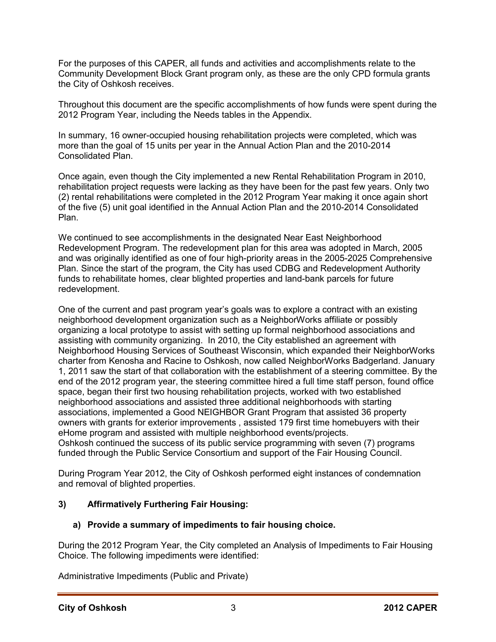For the purposes of this CAPER, all funds and activities and accomplishments relate to the Community Development Block Grant program only, as these are the only CPD formula grants the City of Oshkosh receives.

Throughout this document are the specific accomplishments of how funds were spent during the 2012 Program Year, including the Needs tables in the Appendix.

In summary, 16 owner-occupied housing rehabilitation projects were completed, which was more than the goal of 15 units per year in the Annual Action Plan and the 2010-2014 Consolidated Plan.

Once again, even though the City implemented a new Rental Rehabilitation Program in 2010, rehabilitation project requests were lacking as they have been for the past few years. Only two (2) rental rehabilitations were completed in the 2012 Program Year making it once again short of the five (5) unit goal identified in the Annual Action Plan and the 2010-2014 Consolidated Plan.

We continued to see accomplishments in the designated Near East Neighborhood Redevelopment Program. The redevelopment plan for this area was adopted in March, 2005 and was originally identified as one of four high-priority areas in the 2005-2025 Comprehensive Plan. Since the start of the program, the City has used CDBG and Redevelopment Authority funds to rehabilitate homes, clear blighted properties and land-bank parcels for future redevelopment.

One of the current and past program year's goals was to explore a contract with an existing neighborhood development organization such as a NeighborWorks affiliate or possibly organizing a local prototype to assist with setting up formal neighborhood associations and assisting with community organizing. In 2010, the City established an agreement with Neighborhood Housing Services of Southeast Wisconsin, which expanded their NeighborWorks charter from Kenosha and Racine to Oshkosh, now called NeighborWorks Badgerland. January 1, 2011 saw the start of that collaboration with the establishment of a steering committee. By the end of the 2012 program year, the steering committee hired a full time staff person, found office space, began their first two housing rehabilitation projects, worked with two established neighborhood associations and assisted three additional neighborhoods with starting associations, implemented a Good NEIGHBOR Grant Program that assisted 36 property owners with grants for exterior improvements , assisted 179 first time homebuyers with their eHome program and assisted with multiple neighborhood events/projects. Oshkosh continued the success of its public service programming with seven (7) programs funded through the Public Service Consortium and support of the Fair Housing Council.

During Program Year 2012, the City of Oshkosh performed eight instances of condemnation and removal of blighted properties.

# **3) Affirmatively Furthering Fair Housing:**

#### **a) Provide a summary of impediments to fair housing choice.**

During the 2012 Program Year, the City completed an Analysis of Impediments to Fair Housing Choice. The following impediments were identified:

Administrative Impediments (Public and Private)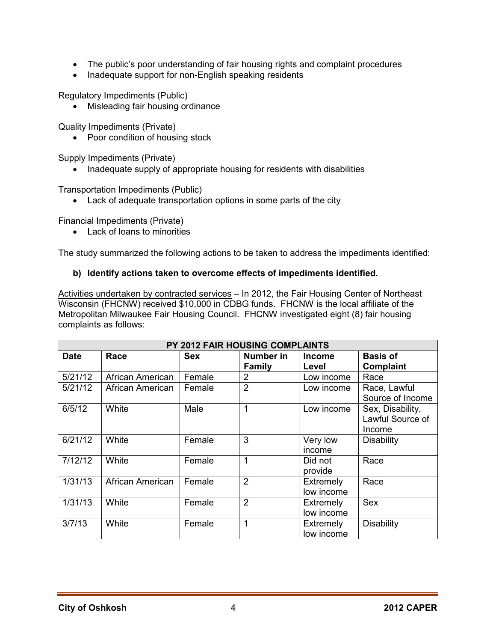- The public's poor understanding of fair housing rights and complaint procedures
- Inadequate support for non-English speaking residents

Regulatory Impediments (Public)

• Misleading fair housing ordinance

Quality Impediments (Private)

• Poor condition of housing stock

Supply Impediments (Private)

• Inadequate supply of appropriate housing for residents with disabilities

Transportation Impediments (Public)

• Lack of adequate transportation options in some parts of the city

Financial Impediments (Private)

• Lack of loans to minorities

The study summarized the following actions to be taken to address the impediments identified:

#### **b) Identify actions taken to overcome effects of impediments identified.**

Activities undertaken by contracted services – In 2012, the Fair Housing Center of Northeast Wisconsin (FHCNW) received \$10,000 in CDBG funds. FHCNW is the local affiliate of the Metropolitan Milwaukee Fair Housing Council. FHCNW investigated eight (8) fair housing complaints as follows:

| PY 2012 FAIR HOUSING COMPLAINTS |                  |            |                |               |                   |  |
|---------------------------------|------------------|------------|----------------|---------------|-------------------|--|
| <b>Date</b>                     | Race             | <b>Sex</b> | Number in      | <b>Income</b> | <b>Basis of</b>   |  |
|                                 |                  |            | <b>Family</b>  | Level         | <b>Complaint</b>  |  |
| 5/21/12                         | African American | Female     | 2              | Low income    | Race              |  |
| 5/21/12                         | African American | Female     | $\overline{2}$ | Low income    | Race, Lawful      |  |
|                                 |                  |            |                |               | Source of Income  |  |
| 6/5/12                          | White            | Male       | 1              | Low income    | Sex, Disability,  |  |
|                                 |                  |            |                |               | Lawful Source of  |  |
|                                 |                  |            |                |               | Income            |  |
| 6/21/12                         | White            | Female     | 3              | Very low      | <b>Disability</b> |  |
|                                 |                  |            |                | income        |                   |  |
| 7/12/12                         | White            | Female     | 1              | Did not       | Race              |  |
|                                 |                  |            |                | provide       |                   |  |
| 1/31/13                         | African American | Female     | $\overline{2}$ | Extremely     | Race              |  |
|                                 |                  |            |                | low income    |                   |  |
| 1/31/13                         | White            | Female     | $\overline{2}$ | Extremely     | <b>Sex</b>        |  |
|                                 |                  |            |                | low income    |                   |  |
| 3/7/13                          | White            | Female     | 1              | Extremely     | <b>Disability</b> |  |
|                                 |                  |            |                | low income    |                   |  |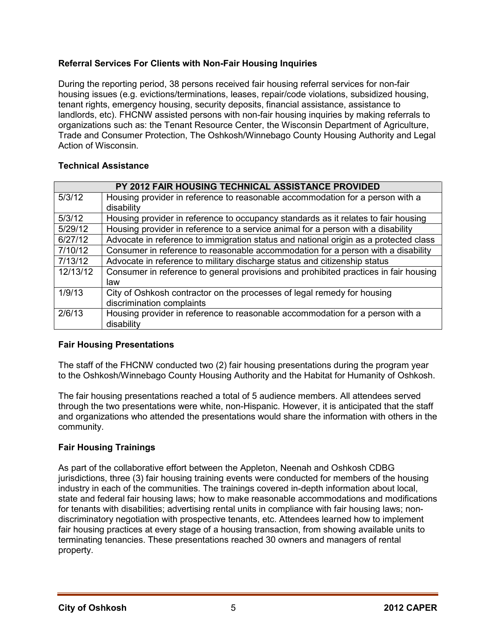# **Referral Services For Clients with Non-Fair Housing Inquiries**

During the reporting period, 38 persons received fair housing referral services for non-fair housing issues (e.g. evictions/terminations, leases, repair/code violations, subsidized housing, tenant rights, emergency housing, security deposits, financial assistance, assistance to landlords, etc). FHCNW assisted persons with non-fair housing inquiries by making referrals to organizations such as: the Tenant Resource Center, the Wisconsin Department of Agriculture, Trade and Consumer Protection, The Oshkosh/Winnebago County Housing Authority and Legal Action of Wisconsin.

# **Technical Assistance**

|          | PY 2012 FAIR HOUSING TECHNICAL ASSISTANCE PROVIDED                                   |  |  |  |  |
|----------|--------------------------------------------------------------------------------------|--|--|--|--|
| 5/3/12   | Housing provider in reference to reasonable accommodation for a person with a        |  |  |  |  |
|          | disability                                                                           |  |  |  |  |
| 5/3/12   | Housing provider in reference to occupancy standards as it relates to fair housing   |  |  |  |  |
| 5/29/12  | Housing provider in reference to a service animal for a person with a disability     |  |  |  |  |
| 6/27/12  | Advocate in reference to immigration status and national origin as a protected class |  |  |  |  |
| 7/10/12  | Consumer in reference to reasonable accommodation for a person with a disability     |  |  |  |  |
| 7/13/12  | Advocate in reference to military discharge status and citizenship status            |  |  |  |  |
| 12/13/12 | Consumer in reference to general provisions and prohibited practices in fair housing |  |  |  |  |
|          | law                                                                                  |  |  |  |  |
| 1/9/13   | City of Oshkosh contractor on the processes of legal remedy for housing              |  |  |  |  |
|          | discrimination complaints                                                            |  |  |  |  |
| 2/6/13   | Housing provider in reference to reasonable accommodation for a person with a        |  |  |  |  |
|          | disability                                                                           |  |  |  |  |

# **Fair Housing Presentations**

The staff of the FHCNW conducted two (2) fair housing presentations during the program year to the Oshkosh/Winnebago County Housing Authority and the Habitat for Humanity of Oshkosh.

The fair housing presentations reached a total of 5 audience members. All attendees served through the two presentations were white, non-Hispanic. However, it is anticipated that the staff and organizations who attended the presentations would share the information with others in the community.

# **Fair Housing Trainings**

As part of the collaborative effort between the Appleton, Neenah and Oshkosh CDBG jurisdictions, three (3) fair housing training events were conducted for members of the housing industry in each of the communities. The trainings covered in-depth information about local, state and federal fair housing laws; how to make reasonable accommodations and modifications for tenants with disabilities; advertising rental units in compliance with fair housing laws; nondiscriminatory negotiation with prospective tenants, etc. Attendees learned how to implement fair housing practices at every stage of a housing transaction, from showing available units to terminating tenancies. These presentations reached 30 owners and managers of rental property.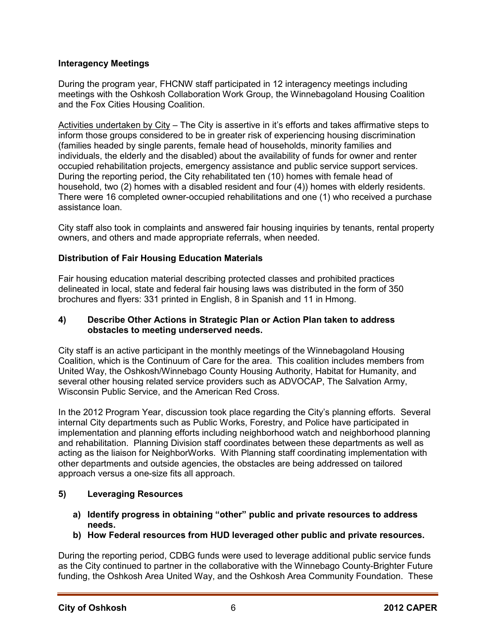# **Interagency Meetings**

During the program year, FHCNW staff participated in 12 interagency meetings including meetings with the Oshkosh Collaboration Work Group, the Winnebagoland Housing Coalition and the Fox Cities Housing Coalition.

Activities undertaken by City – The City is assertive in it's efforts and takes affirmative steps to inform those groups considered to be in greater risk of experiencing housing discrimination (families headed by single parents, female head of households, minority families and individuals, the elderly and the disabled) about the availability of funds for owner and renter occupied rehabilitation projects, emergency assistance and public service support services. During the reporting period, the City rehabilitated ten (10) homes with female head of household, two (2) homes with a disabled resident and four (4)) homes with elderly residents. There were 16 completed owner-occupied rehabilitations and one (1) who received a purchase assistance loan.

City staff also took in complaints and answered fair housing inquiries by tenants, rental property owners, and others and made appropriate referrals, when needed.

# **Distribution of Fair Housing Education Materials**

Fair housing education material describing protected classes and prohibited practices delineated in local, state and federal fair housing laws was distributed in the form of 350 brochures and flyers: 331 printed in English, 8 in Spanish and 11 in Hmong.

#### **4) Describe Other Actions in Strategic Plan or Action Plan taken to address obstacles to meeting underserved needs.**

City staff is an active participant in the monthly meetings of the Winnebagoland Housing Coalition, which is the Continuum of Care for the area. This coalition includes members from United Way, the Oshkosh/Winnebago County Housing Authority, Habitat for Humanity, and several other housing related service providers such as ADVOCAP, The Salvation Army, Wisconsin Public Service, and the American Red Cross.

In the 2012 Program Year, discussion took place regarding the City's planning efforts. Several internal City departments such as Public Works, Forestry, and Police have participated in implementation and planning efforts including neighborhood watch and neighborhood planning and rehabilitation. Planning Division staff coordinates between these departments as well as acting as the liaison for NeighborWorks. With Planning staff coordinating implementation with other departments and outside agencies, the obstacles are being addressed on tailored approach versus a one-size fits all approach.

#### **5) Leveraging Resources**

- **a) Identify progress in obtaining "other" public and private resources to address needs.**
- **b) How Federal resources from HUD leveraged other public and private resources.**

During the reporting period, CDBG funds were used to leverage additional public service funds as the City continued to partner in the collaborative with the Winnebago County-Brighter Future funding, the Oshkosh Area United Way, and the Oshkosh Area Community Foundation. These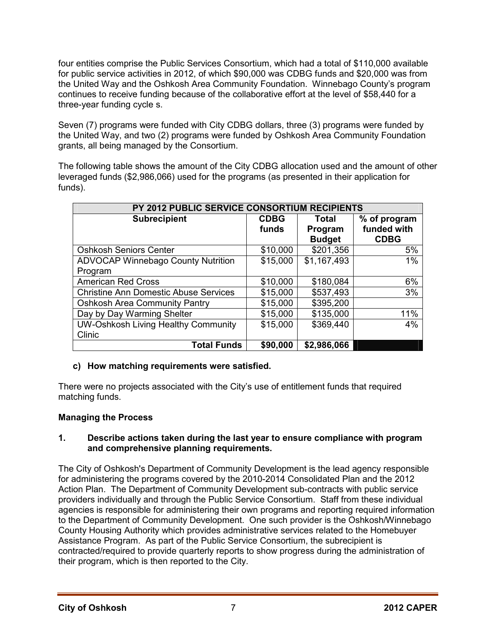four entities comprise the Public Services Consortium, which had a total of \$110,000 available for public service activities in 2012, of which \$90,000 was CDBG funds and \$20,000 was from the United Way and the Oshkosh Area Community Foundation. Winnebago County's program continues to receive funding because of the collaborative effort at the level of \$58,440 for a three-year funding cycle s.

Seven (7) programs were funded with City CDBG dollars, three (3) programs were funded by the United Way, and two (2) programs were funded by Oshkosh Area Community Foundation grants, all being managed by the Consortium.

The following table shows the amount of the City CDBG allocation used and the amount of other leveraged funds (\$2,986,066) used for the programs (as presented in their application for funds).

| PY 2012 PUBLIC SERVICE CONSORTIUM RECIPIENTS |             |               |              |  |  |  |
|----------------------------------------------|-------------|---------------|--------------|--|--|--|
| <b>Subrecipient</b>                          | <b>CDBG</b> | Total         | % of program |  |  |  |
|                                              | funds       | Program       | funded with  |  |  |  |
|                                              |             | <b>Budget</b> | <b>CDBG</b>  |  |  |  |
| <b>Oshkosh Seniors Center</b>                | \$10,000    | \$201,356     | 5%           |  |  |  |
| ADVOCAP Winnebago County Nutrition           | \$15,000    | \$1,167,493   | 1%           |  |  |  |
| Program                                      |             |               |              |  |  |  |
| <b>American Red Cross</b>                    | \$10,000    | \$180,084     | 6%           |  |  |  |
| <b>Christine Ann Domestic Abuse Services</b> | \$15,000    | \$537,493     | 3%           |  |  |  |
| <b>Oshkosh Area Community Pantry</b>         | \$15,000    | \$395,200     |              |  |  |  |
| Day by Day Warming Shelter                   | \$15,000    | \$135,000     | 11%          |  |  |  |
| UW-Oshkosh Living Healthy Community          | \$15,000    | \$369,440     | 4%           |  |  |  |
| Clinic                                       |             |               |              |  |  |  |
| <b>Total Funds</b>                           | \$90,000    | \$2,986,066   |              |  |  |  |

# **c) How matching requirements were satisfied.**

There were no projects associated with the City's use of entitlement funds that required matching funds.

# **Managing the Process**

#### **1. Describe actions taken during the last year to ensure compliance with program and comprehensive planning requirements.**

The City of Oshkosh's Department of Community Development is the lead agency responsible for administering the programs covered by the 2010-2014 Consolidated Plan and the 2012 Action Plan. The Department of Community Development sub-contracts with public service providers individually and through the Public Service Consortium. Staff from these individual agencies is responsible for administering their own programs and reporting required information to the Department of Community Development. One such provider is the Oshkosh/Winnebago County Housing Authority which provides administrative services related to the Homebuyer Assistance Program. As part of the Public Service Consortium, the subrecipient is contracted/required to provide quarterly reports to show progress during the administration of their program, which is then reported to the City.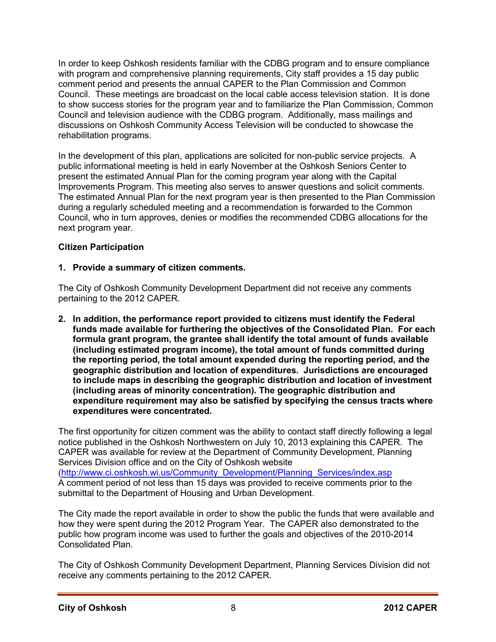In order to keep Oshkosh residents familiar with the CDBG program and to ensure compliance with program and comprehensive planning requirements, City staff provides a 15 day public comment period and presents the annual CAPER to the Plan Commission and Common Council. These meetings are broadcast on the local cable access television station. It is done to show success stories for the program year and to familiarize the Plan Commission, Common Council and television audience with the CDBG program. Additionally, mass mailings and discussions on Oshkosh Community Access Television will be conducted to showcase the rehabilitation programs.

In the development of this plan, applications are solicited for non-public service projects. A public informational meeting is held in early November at the Oshkosh Seniors Center to present the estimated Annual Plan for the coming program year along with the Capital Improvements Program. This meeting also serves to answer questions and solicit comments. The estimated Annual Plan for the next program year is then presented to the Plan Commission during a regularly scheduled meeting and a recommendation is forwarded to the Common Council, who in turn approves, denies or modifies the recommended CDBG allocations for the next program year.

# **Citizen Participation**

# **1. Provide a summary of citizen comments.**

The City of Oshkosh Community Development Department did not receive any comments pertaining to the 2012 CAPER.

**2. In addition, the performance report provided to citizens must identify the Federal funds made available for furthering the objectives of the Consolidated Plan. For each formula grant program, the grantee shall identify the total amount of funds available (including estimated program income), the total amount of funds committed during the reporting period, the total amount expended during the reporting period, and the geographic distribution and location of expenditures. Jurisdictions are encouraged to include maps in describing the geographic distribution and location of investment (including areas of minority concentration). The geographic distribution and expenditure requirement may also be satisfied by specifying the census tracts where expenditures were concentrated.** 

The first opportunity for citizen comment was the ability to contact staff directly following a legal notice published in the Oshkosh Northwestern on July 10, 2013 explaining this CAPER. The CAPER was available for review at the Department of Community Development, Planning Services Division office and on the City of Oshkosh website (http://www.ci.oshkosh.wi.us/Community\_Development/Planning\_Services/index.asp A comment period of not less than 15 days was provided to receive comments prior to the submittal to the Department of Housing and Urban Development.

The City made the report available in order to show the public the funds that were available and how they were spent during the 2012 Program Year. The CAPER also demonstrated to the public how program income was used to further the goals and objectives of the 2010-2014 Consolidated Plan.

The City of Oshkosh Community Development Department, Planning Services Division did not receive any comments pertaining to the 2012 CAPER.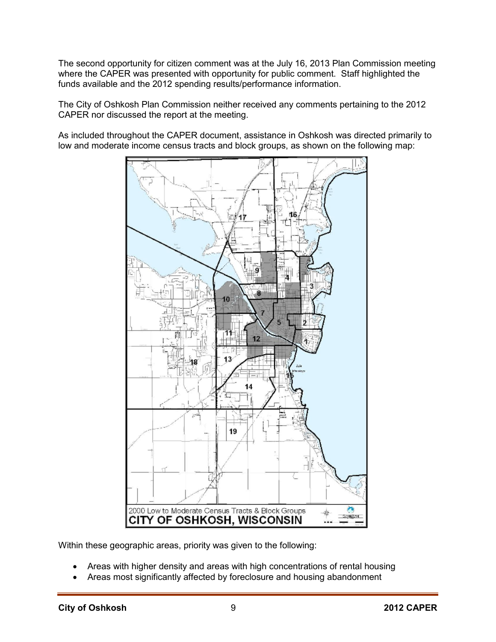The second opportunity for citizen comment was at the July 16, 2013 Plan Commission meeting where the CAPER was presented with opportunity for public comment. Staff highlighted the funds available and the 2012 spending results/performance information.

The City of Oshkosh Plan Commission neither received any comments pertaining to the 2012 CAPER nor discussed the report at the meeting.

As included throughout the CAPER document, assistance in Oshkosh was directed primarily to low and moderate income census tracts and block groups, as shown on the following map:



Within these geographic areas, priority was given to the following:

- Areas with higher density and areas with high concentrations of rental housing
- Areas most significantly affected by foreclosure and housing abandonment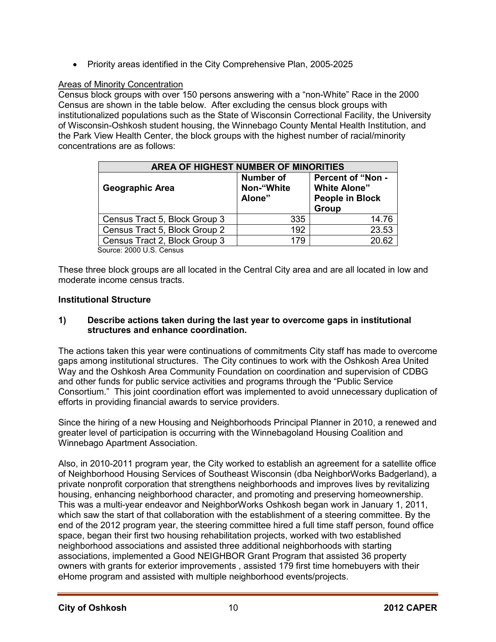• Priority areas identified in the City Comprehensive Plan, 2005-2025

# Areas of Minority Concentration

Census block groups with over 150 persons answering with a "non-White" Race in the 2000 Census are shown in the table below. After excluding the census block groups with institutionalized populations such as the State of Wisconsin Correctional Facility, the University of Wisconsin-Oshkosh student housing, the Winnebago County Mental Health Institution, and the Park View Health Center, the block groups with the highest number of racial/minority concentrations are as follows:

| <b>AREA OF HIGHEST NUMBER OF MINORITIES</b> |                                          |                                                                                    |  |  |  |  |
|---------------------------------------------|------------------------------------------|------------------------------------------------------------------------------------|--|--|--|--|
| <b>Geographic Area</b>                      | <b>Number of</b><br>Non-"White<br>Alone" | <b>Percent of "Non -</b><br><b>White Alone"</b><br><b>People in Block</b><br>Group |  |  |  |  |
| Census Tract 5, Block Group 3               | 335                                      | 14.76                                                                              |  |  |  |  |
| Census Tract 5, Block Group 2               | 192                                      | 23.53                                                                              |  |  |  |  |
| Census Tract 2, Block Group 3               | 179                                      | 20.62                                                                              |  |  |  |  |
| $\mathcal{C}_{\mathcal{A}}$                 |                                          |                                                                                    |  |  |  |  |

Source: 2000 U.S. Census

These three block groups are all located in the Central City area and are all located in low and moderate income census tracts.

# **Institutional Structure**

#### **1) Describe actions taken during the last year to overcome gaps in institutional structures and enhance coordination.**

The actions taken this year were continuations of commitments City staff has made to overcome gaps among institutional structures. The City continues to work with the Oshkosh Area United Way and the Oshkosh Area Community Foundation on coordination and supervision of CDBG and other funds for public service activities and programs through the "Public Service Consortium." This joint coordination effort was implemented to avoid unnecessary duplication of efforts in providing financial awards to service providers.

Since the hiring of a new Housing and Neighborhoods Principal Planner in 2010, a renewed and greater level of participation is occurring with the Winnebagoland Housing Coalition and Winnebago Apartment Association.

Also, in 2010-2011 program year, the City worked to establish an agreement for a satellite office of Neighborhood Housing Services of Southeast Wisconsin (dba NeighborWorks Badgerland), a private nonprofit corporation that strengthens neighborhoods and improves lives by revitalizing housing, enhancing neighborhood character, and promoting and preserving homeownership. This was a multi-year endeavor and NeighborWorks Oshkosh began work in January 1, 2011, which saw the start of that collaboration with the establishment of a steering committee. By the end of the 2012 program year, the steering committee hired a full time staff person, found office space, began their first two housing rehabilitation projects, worked with two established neighborhood associations and assisted three additional neighborhoods with starting associations, implemented a Good NEIGHBOR Grant Program that assisted 36 property owners with grants for exterior improvements , assisted 179 first time homebuyers with their eHome program and assisted with multiple neighborhood events/projects.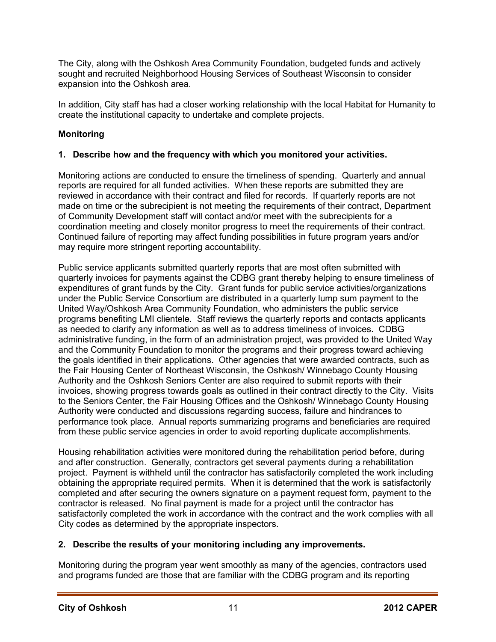The City, along with the Oshkosh Area Community Foundation, budgeted funds and actively sought and recruited Neighborhood Housing Services of Southeast Wisconsin to consider expansion into the Oshkosh area.

In addition, City staff has had a closer working relationship with the local Habitat for Humanity to create the institutional capacity to undertake and complete projects.

# **Monitoring**

# **1. Describe how and the frequency with which you monitored your activities.**

Monitoring actions are conducted to ensure the timeliness of spending. Quarterly and annual reports are required for all funded activities. When these reports are submitted they are reviewed in accordance with their contract and filed for records. If quarterly reports are not made on time or the subrecipient is not meeting the requirements of their contract, Department of Community Development staff will contact and/or meet with the subrecipients for a coordination meeting and closely monitor progress to meet the requirements of their contract. Continued failure of reporting may affect funding possibilities in future program years and/or may require more stringent reporting accountability.

Public service applicants submitted quarterly reports that are most often submitted with quarterly invoices for payments against the CDBG grant thereby helping to ensure timeliness of expenditures of grant funds by the City. Grant funds for public service activities/organizations under the Public Service Consortium are distributed in a quarterly lump sum payment to the United Way/Oshkosh Area Community Foundation, who administers the public service programs benefiting LMI clientele. Staff reviews the quarterly reports and contacts applicants as needed to clarify any information as well as to address timeliness of invoices. CDBG administrative funding, in the form of an administration project, was provided to the United Way and the Community Foundation to monitor the programs and their progress toward achieving the goals identified in their applications. Other agencies that were awarded contracts, such as the Fair Housing Center of Northeast Wisconsin, the Oshkosh/ Winnebago County Housing Authority and the Oshkosh Seniors Center are also required to submit reports with their invoices, showing progress towards goals as outlined in their contract directly to the City. Visits to the Seniors Center, the Fair Housing Offices and the Oshkosh/ Winnebago County Housing Authority were conducted and discussions regarding success, failure and hindrances to performance took place. Annual reports summarizing programs and beneficiaries are required from these public service agencies in order to avoid reporting duplicate accomplishments.

Housing rehabilitation activities were monitored during the rehabilitation period before, during and after construction. Generally, contractors get several payments during a rehabilitation project. Payment is withheld until the contractor has satisfactorily completed the work including obtaining the appropriate required permits. When it is determined that the work is satisfactorily completed and after securing the owners signature on a payment request form, payment to the contractor is released. No final payment is made for a project until the contractor has satisfactorily completed the work in accordance with the contract and the work complies with all City codes as determined by the appropriate inspectors.

# **2. Describe the results of your monitoring including any improvements.**

Monitoring during the program year went smoothly as many of the agencies, contractors used and programs funded are those that are familiar with the CDBG program and its reporting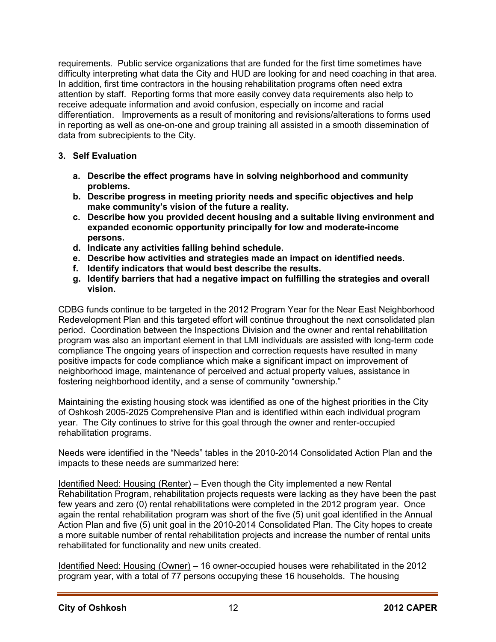requirements. Public service organizations that are funded for the first time sometimes have difficulty interpreting what data the City and HUD are looking for and need coaching in that area. In addition, first time contractors in the housing rehabilitation programs often need extra attention by staff. Reporting forms that more easily convey data requirements also help to receive adequate information and avoid confusion, especially on income and racial differentiation. Improvements as a result of monitoring and revisions/alterations to forms used in reporting as well as one-on-one and group training all assisted in a smooth dissemination of data from subrecipients to the City.

# **3. Self Evaluation**

- **a. Describe the effect programs have in solving neighborhood and community problems.**
- **b. Describe progress in meeting priority needs and specific objectives and help make community's vision of the future a reality.**
- **c. Describe how you provided decent housing and a suitable living environment and expanded economic opportunity principally for low and moderate-income persons.**
- **d. Indicate any activities falling behind schedule.**
- **e. Describe how activities and strategies made an impact on identified needs.**
- **f. Identify indicators that would best describe the results.**
- **g. Identify barriers that had a negative impact on fulfilling the strategies and overall vision.**

CDBG funds continue to be targeted in the 2012 Program Year for the Near East Neighborhood Redevelopment Plan and this targeted effort will continue throughout the next consolidated plan period. Coordination between the Inspections Division and the owner and rental rehabilitation program was also an important element in that LMI individuals are assisted with long-term code compliance The ongoing years of inspection and correction requests have resulted in many positive impacts for code compliance which make a significant impact on improvement of neighborhood image, maintenance of perceived and actual property values, assistance in fostering neighborhood identity, and a sense of community "ownership."

Maintaining the existing housing stock was identified as one of the highest priorities in the City of Oshkosh 2005-2025 Comprehensive Plan and is identified within each individual program year. The City continues to strive for this goal through the owner and renter-occupied rehabilitation programs.

Needs were identified in the "Needs" tables in the 2010-2014 Consolidated Action Plan and the impacts to these needs are summarized here:

Identified Need: Housing (Renter) – Even though the City implemented a new Rental Rehabilitation Program, rehabilitation projects requests were lacking as they have been the past few years and zero (0) rental rehabilitations were completed in the 2012 program year. Once again the rental rehabilitation program was short of the five (5) unit goal identified in the Annual Action Plan and five (5) unit goal in the 2010-2014 Consolidated Plan. The City hopes to create a more suitable number of rental rehabilitation projects and increase the number of rental units rehabilitated for functionality and new units created.

Identified Need: Housing (Owner) – 16 owner-occupied houses were rehabilitated in the 2012 program year, with a total of 77 persons occupying these 16 households. The housing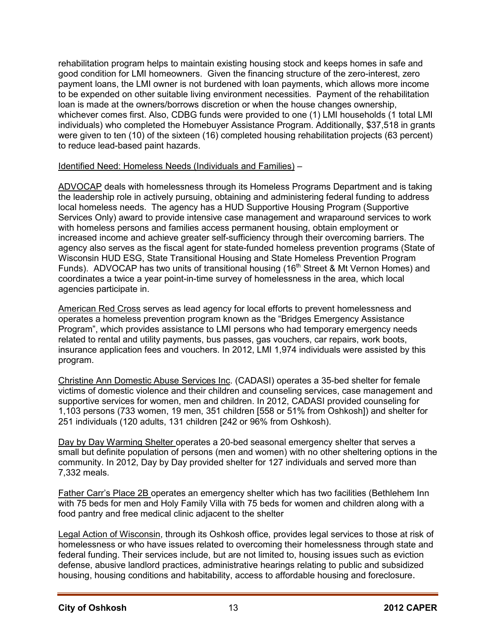rehabilitation program helps to maintain existing housing stock and keeps homes in safe and good condition for LMI homeowners. Given the financing structure of the zero-interest, zero payment loans, the LMI owner is not burdened with loan payments, which allows more income to be expended on other suitable living environment necessities. Payment of the rehabilitation loan is made at the owners/borrows discretion or when the house changes ownership, whichever comes first. Also, CDBG funds were provided to one (1) LMI households (1 total LMI individuals) who completed the Homebuyer Assistance Program. Additionally, \$37,518 in grants were given to ten (10) of the sixteen (16) completed housing rehabilitation projects (63 percent) to reduce lead-based paint hazards.

#### Identified Need: Homeless Needs (Individuals and Families) –

ADVOCAP deals with homelessness through its Homeless Programs Department and is taking the leadership role in actively pursuing, obtaining and administering federal funding to address local homeless needs. The agency has a HUD Supportive Housing Program (Supportive Services Only) award to provide intensive case management and wraparound services to work with homeless persons and families access permanent housing, obtain employment or increased income and achieve greater self-sufficiency through their overcoming barriers. The agency also serves as the fiscal agent for state-funded homeless prevention programs (State of Wisconsin HUD ESG, State Transitional Housing and State Homeless Prevention Program Funds). ADVOCAP has two units of transitional housing (16<sup>th</sup> Street & Mt Vernon Homes) and coordinates a twice a year point-in-time survey of homelessness in the area, which local agencies participate in.

American Red Cross serves as lead agency for local efforts to prevent homelessness and operates a homeless prevention program known as the "Bridges Emergency Assistance Program", which provides assistance to LMI persons who had temporary emergency needs related to rental and utility payments, bus passes, gas vouchers, car repairs, work boots, insurance application fees and vouchers. In 2012, LMI 1,974 individuals were assisted by this program.

Christine Ann Domestic Abuse Services Inc. (CADASI) operates a 35-bed shelter for female victims of domestic violence and their children and counseling services, case management and supportive services for women, men and children. In 2012, CADASI provided counseling for 1,103 persons (733 women, 19 men, 351 children [558 or 51% from Oshkosh]) and shelter for 251 individuals (120 adults, 131 children [242 or 96% from Oshkosh).

Day by Day Warming Shelter operates a 20-bed seasonal emergency shelter that serves a small but definite population of persons (men and women) with no other sheltering options in the community. In 2012, Day by Day provided shelter for 127 individuals and served more than 7,332 meals.

Father Carr's Place 2B operates an emergency shelter which has two facilities (Bethlehem Inn with 75 beds for men and Holy Family Villa with 75 beds for women and children along with a food pantry and free medical clinic adjacent to the shelter

Legal Action of Wisconsin, through its Oshkosh office, provides legal services to those at risk of homelessness or who have issues related to overcoming their homelessness through state and federal funding. Their services include, but are not limited to, housing issues such as eviction defense, abusive landlord practices, administrative hearings relating to public and subsidized housing, housing conditions and habitability, access to affordable housing and foreclosure.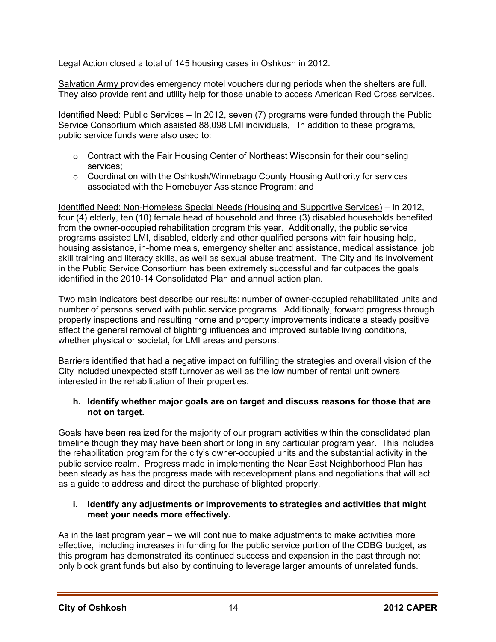Legal Action closed a total of 145 housing cases in Oshkosh in 2012.

Salvation Army provides emergency motel vouchers during periods when the shelters are full. They also provide rent and utility help for those unable to access American Red Cross services.

Identified Need: Public Services – In 2012, seven (7) programs were funded through the Public Service Consortium which assisted 88,098 LMI individuals, In addition to these programs, public service funds were also used to:

- $\circ$  Contract with the Fair Housing Center of Northeast Wisconsin for their counseling services;
- $\circ$  Coordination with the Oshkosh/Winnebago County Housing Authority for services associated with the Homebuyer Assistance Program; and

Identified Need: Non-Homeless Special Needs (Housing and Supportive Services) – In 2012, four (4) elderly, ten (10) female head of household and three (3) disabled households benefited from the owner-occupied rehabilitation program this year. Additionally, the public service programs assisted LMI, disabled, elderly and other qualified persons with fair housing help, housing assistance, in-home meals, emergency shelter and assistance, medical assistance, job skill training and literacy skills, as well as sexual abuse treatment. The City and its involvement in the Public Service Consortium has been extremely successful and far outpaces the goals identified in the 2010-14 Consolidated Plan and annual action plan.

Two main indicators best describe our results: number of owner-occupied rehabilitated units and number of persons served with public service programs. Additionally, forward progress through property inspections and resulting home and property improvements indicate a steady positive affect the general removal of blighting influences and improved suitable living conditions, whether physical or societal, for LMI areas and persons.

Barriers identified that had a negative impact on fulfilling the strategies and overall vision of the City included unexpected staff turnover as well as the low number of rental unit owners interested in the rehabilitation of their properties.

# **h. Identify whether major goals are on target and discuss reasons for those that are not on target.**

Goals have been realized for the majority of our program activities within the consolidated plan timeline though they may have been short or long in any particular program year. This includes the rehabilitation program for the city's owner-occupied units and the substantial activity in the public service realm. Progress made in implementing the Near East Neighborhood Plan has been steady as has the progress made with redevelopment plans and negotiations that will act as a guide to address and direct the purchase of blighted property.

#### **i. Identify any adjustments or improvements to strategies and activities that might meet your needs more effectively.**

As in the last program year – we will continue to make adjustments to make activities more effective, including increases in funding for the public service portion of the CDBG budget, as this program has demonstrated its continued success and expansion in the past through not only block grant funds but also by continuing to leverage larger amounts of unrelated funds.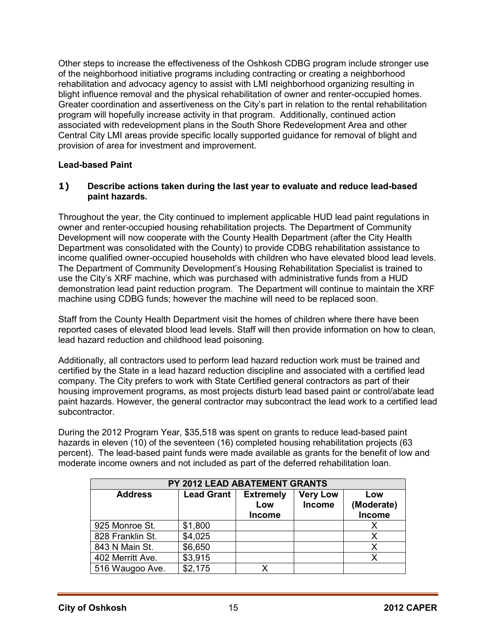Other steps to increase the effectiveness of the Oshkosh CDBG program include stronger use of the neighborhood initiative programs including contracting or creating a neighborhood rehabilitation and advocacy agency to assist with LMI neighborhood organizing resulting in blight influence removal and the physical rehabilitation of owner and renter-occupied homes. Greater coordination and assertiveness on the City's part in relation to the rental rehabilitation program will hopefully increase activity in that program. Additionally, continued action associated with redevelopment plans in the South Shore Redevelopment Area and other Central City LMI areas provide specific locally supported guidance for removal of blight and provision of area for investment and improvement.

#### **Lead-based Paint**

#### **1) Describe actions taken during the last year to evaluate and reduce lead-based paint hazards.**

Throughout the year, the City continued to implement applicable HUD lead paint regulations in owner and renter-occupied housing rehabilitation projects. The Department of Community Development will now cooperate with the County Health Department (after the City Health Department was consolidated with the County) to provide CDBG rehabilitation assistance to income qualified owner-occupied households with children who have elevated blood lead levels. The Department of Community Development's Housing Rehabilitation Specialist is trained to use the City's XRF machine, which was purchased with administrative funds from a HUD demonstration lead paint reduction program. The Department will continue to maintain the XRF machine using CDBG funds; however the machine will need to be replaced soon.

Staff from the County Health Department visit the homes of children where there have been reported cases of elevated blood lead levels. Staff will then provide information on how to clean, lead hazard reduction and childhood lead poisoning.

Additionally, all contractors used to perform lead hazard reduction work must be trained and certified by the State in a lead hazard reduction discipline and associated with a certified lead company. The City prefers to work with State Certified general contractors as part of their housing improvement programs, as most projects disturb lead based paint or control/abate lead paint hazards. However, the general contractor may subcontract the lead work to a certified lead subcontractor.

During the 2012 Program Year, \$35,518 was spent on grants to reduce lead-based paint hazards in eleven (10) of the seventeen (16) completed housing rehabilitation projects (63 percent). The lead-based paint funds were made available as grants for the benefit of low and moderate income owners and not included as part of the deferred rehabilitation loan.

| PY 2012 LEAD ABATEMENT GRANTS |                   |                  |                 |               |  |  |
|-------------------------------|-------------------|------------------|-----------------|---------------|--|--|
| <b>Address</b>                | <b>Lead Grant</b> | <b>Extremely</b> | <b>Very Low</b> | Low           |  |  |
|                               |                   | Low              | Income          | (Moderate)    |  |  |
|                               |                   | <b>Income</b>    |                 | <b>Income</b> |  |  |
| 925 Monroe St.                | \$1,800           |                  |                 |               |  |  |
| 828 Franklin St.              | \$4,025           |                  |                 |               |  |  |
| 843 N Main St.                | \$6,650           |                  |                 |               |  |  |
| 402 Merritt Ave.              | \$3,915           |                  |                 |               |  |  |
| 516 Waugoo Ave.               | \$2,175           |                  |                 |               |  |  |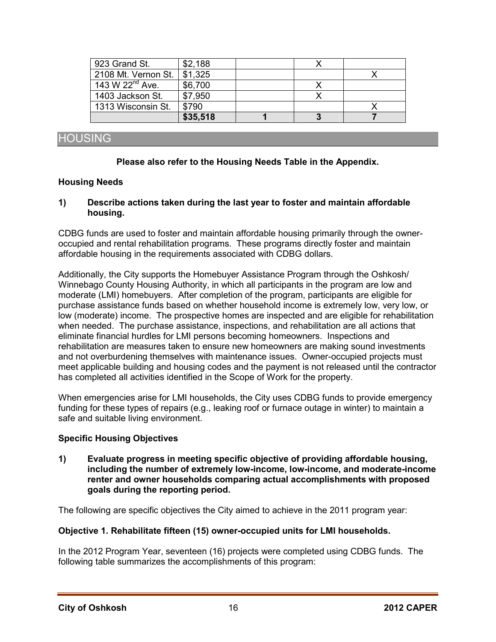| 923 Grand St.        | \$2,188  |  |  |
|----------------------|----------|--|--|
| 2108 Mt. Vernon St.  | \$1,325  |  |  |
| 143 W $22^{nd}$ Ave. | \$6,700  |  |  |
| 1403 Jackson St.     | \$7,950  |  |  |
| 1313 Wisconsin St.   | \$790    |  |  |
|                      | \$35,518 |  |  |

# HOUSING

#### **Please also refer to the Housing Needs Table in the Appendix.**

#### **Housing Needs**

#### **1) Describe actions taken during the last year to foster and maintain affordable housing.**

CDBG funds are used to foster and maintain affordable housing primarily through the owneroccupied and rental rehabilitation programs. These programs directly foster and maintain affordable housing in the requirements associated with CDBG dollars.

Additionally, the City supports the Homebuyer Assistance Program through the Oshkosh/ Winnebago County Housing Authority, in which all participants in the program are low and moderate (LMI) homebuyers. After completion of the program, participants are eligible for purchase assistance funds based on whether household income is extremely low, very low, or low (moderate) income. The prospective homes are inspected and are eligible for rehabilitation when needed. The purchase assistance, inspections, and rehabilitation are all actions that eliminate financial hurdles for LMI persons becoming homeowners. Inspections and rehabilitation are measures taken to ensure new homeowners are making sound investments and not overburdening themselves with maintenance issues. Owner-occupied projects must meet applicable building and housing codes and the payment is not released until the contractor has completed all activities identified in the Scope of Work for the property.

When emergencies arise for LMI households, the City uses CDBG funds to provide emergency funding for these types of repairs (e.g., leaking roof or furnace outage in winter) to maintain a safe and suitable living environment.

#### **Specific Housing Objectives**

**1) Evaluate progress in meeting specific objective of providing affordable housing, including the number of extremely low-income, low-income, and moderate-income renter and owner households comparing actual accomplishments with proposed goals during the reporting period.** 

The following are specific objectives the City aimed to achieve in the 2011 program year:

#### **Objective 1. Rehabilitate fifteen (15) owner-occupied units for LMI households.**

In the 2012 Program Year, seventeen (16) projects were completed using CDBG funds. The following table summarizes the accomplishments of this program: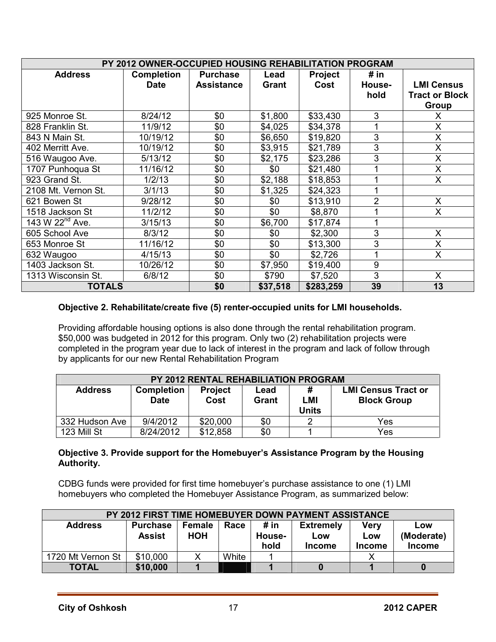| PY 2012 OWNER-OCCUPIED HOUSING REHABILITATION PROGRAM |                   |                   |          |                |        |                         |
|-------------------------------------------------------|-------------------|-------------------|----------|----------------|--------|-------------------------|
| <b>Address</b>                                        | <b>Completion</b> | <b>Purchase</b>   | Lead     | <b>Project</b> | # $in$ |                         |
|                                                       | <b>Date</b>       | <b>Assistance</b> | Grant    | Cost           | House- | <b>LMI Census</b>       |
|                                                       |                   |                   |          |                | hold   | <b>Tract or Block</b>   |
|                                                       |                   |                   |          |                |        | Group                   |
| 925 Monroe St.                                        | 8/24/12           | \$0               | \$1,800  | \$33,430       | 3      | X                       |
| 828 Franklin St.                                      | 11/9/12           | \$0               | \$4,025  | \$34,378       |        | $\mathsf{X}$            |
| 843 N Main St.                                        | 10/19/12          | \$0               | \$6,650  | \$19,820       | 3      | X                       |
| 402 Merritt Ave.                                      | 10/19/12          | \$0               | \$3,915  | \$21,789       | 3      | X                       |
| 516 Waugoo Ave.                                       | 5/13/12           | \$0               | \$2,175  | \$23,286       | 3      | $\mathsf{X}$            |
| 1707 Punhoqua St                                      | 11/16/12          | \$0               | \$0      | \$21,480       |        | X                       |
| 923 Grand St.                                         | 1/2/13            | \$0               | \$2,188  | \$18,853       | 4      | X                       |
| 2108 Mt. Vernon St.                                   | 3/1/13            | \$0               | \$1,325  | \$24,323       |        |                         |
| 621 Bowen St                                          | 9/28/12           | \$0               | \$0      | \$13,910       | 2      | X                       |
| 1518 Jackson St                                       | 11/2/12           | \$0               | \$0      | \$8,870        |        | $\mathsf{X}$            |
| 143 W 22 <sup>nd</sup> Ave.                           | 3/15/13           | \$0               | \$6,700  | \$17,874       |        |                         |
| 605 School Ave                                        | 8/3/12            | \$0               | \$0      | \$2,300        | 3      | X                       |
| 653 Monroe St                                         | 11/16/12          | \$0               | \$0      | \$13,300       | 3      | $\overline{\mathsf{x}}$ |
| 632 Waugoo                                            | 4/15/13           | \$0               | \$0      | \$2,726        |        | X                       |
| 1403 Jackson St.                                      | 10/26/12          | \$0               | \$7,950  | \$19,400       | 9      |                         |
| 1313 Wisconsin St.                                    | 6/8/12            | \$0               | \$790    | \$7,520        | 3      | X                       |
| <b>TOTALS</b>                                         |                   | \$0               | \$37,518 | \$283,259      | 39     | 13                      |

# **Objective 2. Rehabilitate/create five (5) renter-occupied units for LMI households.**

Providing affordable housing options is also done through the rental rehabilitation program. \$50,000 was budgeted in 2012 for this program. Only two (2) rehabilitation projects were completed in the program year due to lack of interest in the program and lack of follow through by applicants for our new Rental Rehabilitation Program

| <b>PY 2012 RENTAL REHABILIATION PROGRAM</b> |                                  |                        |               |                          |                                                  |
|---------------------------------------------|----------------------------------|------------------------|---------------|--------------------------|--------------------------------------------------|
| <b>Address</b>                              | <b>Completion</b><br><b>Date</b> | <b>Project</b><br>Cost | Lead<br>Grant | #<br>LMI<br><b>Units</b> | <b>LMI Census Tract or</b><br><b>Block Group</b> |
| 332 Hudson Ave                              | 9/4/2012                         | \$20,000               | \$0           |                          | Yes                                              |
| 123 Mill St                                 | 8/24/2012                        | \$12,858               | \$0           |                          | Yes                                              |

#### **Objective 3. Provide support for the Homebuyer's Assistance Program by the Housing Authority.**

CDBG funds were provided for first time homebuyer's purchase assistance to one (1) LMI homebuyers who completed the Homebuyer Assistance Program, as summarized below:

| <b>PY 2012 FIRST TIME HOMEBUYER DOWN PAYMENT ASSISTANCE</b> |                 |               |       |               |                  |               |               |
|-------------------------------------------------------------|-----------------|---------------|-------|---------------|------------------|---------------|---------------|
| <b>Address</b>                                              | <b>Purchase</b> | <b>Female</b> | Race  | # in          | <b>Extremely</b> | Verv          | Low           |
|                                                             | <b>Assist</b>   | <b>HOH</b>    |       | <b>House-</b> | Low              | Low           | (Moderate)    |
|                                                             |                 |               |       | hold          | <b>Income</b>    | <b>Income</b> | <b>Income</b> |
| 1720 Mt Vernon St                                           | \$10,000        |               | White |               |                  |               |               |
| <b>TOTAL</b>                                                | \$10,000        |               |       |               |                  |               |               |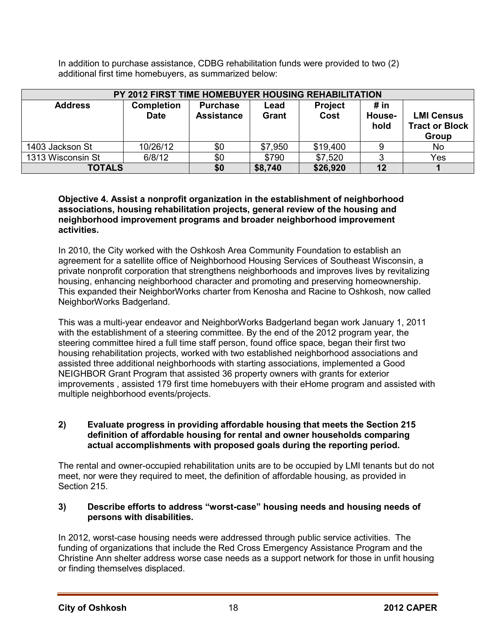In addition to purchase assistance, CDBG rehabilitation funds were provided to two (2) additional first time homebuyers, as summarized below:

|                   | PY 2012 FIRST TIME HOMEBUYER HOUSING REHABILITATION |                                      |               |                        |                        |                                                            |
|-------------------|-----------------------------------------------------|--------------------------------------|---------------|------------------------|------------------------|------------------------------------------------------------|
| <b>Address</b>    | <b>Completion</b><br><b>Date</b>                    | <b>Purchase</b><br><b>Assistance</b> | Lead<br>Grant | <b>Project</b><br>Cost | # in<br>House-<br>hold | <b>LMI Census</b><br><b>Tract or Block</b><br><b>Group</b> |
| 1403 Jackson St   | 10/26/12                                            | \$0                                  | \$7,950       | \$19,400               |                        | N <sub>o</sub>                                             |
| 1313 Wisconsin St | 6/8/12                                              | \$0                                  | \$790         | \$7,520                | ◠                      | Yes                                                        |
| <b>TOTALS</b>     |                                                     | \$0                                  | \$8,740       | \$26,920               | 12                     |                                                            |

#### **Objective 4. Assist a nonprofit organization in the establishment of neighborhood associations, housing rehabilitation projects, general review of the housing and neighborhood improvement programs and broader neighborhood improvement activities.**

In 2010, the City worked with the Oshkosh Area Community Foundation to establish an agreement for a satellite office of Neighborhood Housing Services of Southeast Wisconsin, a private nonprofit corporation that strengthens neighborhoods and improves lives by revitalizing housing, enhancing neighborhood character and promoting and preserving homeownership. This expanded their NeighborWorks charter from Kenosha and Racine to Oshkosh, now called NeighborWorks Badgerland.

This was a multi-year endeavor and NeighborWorks Badgerland began work January 1, 2011 with the establishment of a steering committee. By the end of the 2012 program year, the steering committee hired a full time staff person, found office space, began their first two housing rehabilitation projects, worked with two established neighborhood associations and assisted three additional neighborhoods with starting associations, implemented a Good NEIGHBOR Grant Program that assisted 36 property owners with grants for exterior improvements , assisted 179 first time homebuyers with their eHome program and assisted with multiple neighborhood events/projects.

#### **2) Evaluate progress in providing affordable housing that meets the Section 215 definition of affordable housing for rental and owner households comparing actual accomplishments with proposed goals during the reporting period.**

The rental and owner-occupied rehabilitation units are to be occupied by LMI tenants but do not meet, nor were they required to meet, the definition of affordable housing, as provided in Section 215.

#### **3) Describe efforts to address "worst-case" housing needs and housing needs of persons with disabilities.**

In 2012, worst-case housing needs were addressed through public service activities. The funding of organizations that include the Red Cross Emergency Assistance Program and the Christine Ann shelter address worse case needs as a support network for those in unfit housing or finding themselves displaced.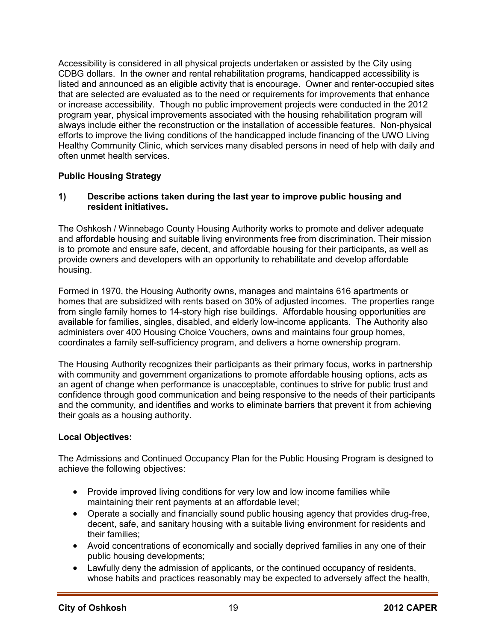Accessibility is considered in all physical projects undertaken or assisted by the City using CDBG dollars. In the owner and rental rehabilitation programs, handicapped accessibility is listed and announced as an eligible activity that is encourage. Owner and renter-occupied sites that are selected are evaluated as to the need or requirements for improvements that enhance or increase accessibility. Though no public improvement projects were conducted in the 2012 program year, physical improvements associated with the housing rehabilitation program will always include either the reconstruction or the installation of accessible features. Non-physical efforts to improve the living conditions of the handicapped include financing of the UWO Living Healthy Community Clinic, which services many disabled persons in need of help with daily and often unmet health services.

# **Public Housing Strategy**

#### **1) Describe actions taken during the last year to improve public housing and resident initiatives.**

The Oshkosh / Winnebago County Housing Authority works to promote and deliver adequate and affordable housing and suitable living environments free from discrimination. Their mission is to promote and ensure safe, decent, and affordable housing for their participants, as well as provide owners and developers with an opportunity to rehabilitate and develop affordable housing.

Formed in 1970, the Housing Authority owns, manages and maintains 616 apartments or homes that are subsidized with rents based on 30% of adjusted incomes. The properties range from single family homes to 14-story high rise buildings. Affordable housing opportunities are available for families, singles, disabled, and elderly low-income applicants. The Authority also administers over 400 Housing Choice Vouchers, owns and maintains four group homes, coordinates a family self-sufficiency program, and delivers a home ownership program.

The Housing Authority recognizes their participants as their primary focus, works in partnership with community and government organizations to promote affordable housing options, acts as an agent of change when performance is unacceptable, continues to strive for public trust and confidence through good communication and being responsive to the needs of their participants and the community, and identifies and works to eliminate barriers that prevent it from achieving their goals as a housing authority.

# **Local Objectives:**

The Admissions and Continued Occupancy Plan for the Public Housing Program is designed to achieve the following objectives:

- Provide improved living conditions for very low and low income families while maintaining their rent payments at an affordable level;
- Operate a socially and financially sound public housing agency that provides drug-free, decent, safe, and sanitary housing with a suitable living environment for residents and their families;
- Avoid concentrations of economically and socially deprived families in any one of their public housing developments;
- Lawfully deny the admission of applicants, or the continued occupancy of residents, whose habits and practices reasonably may be expected to adversely affect the health,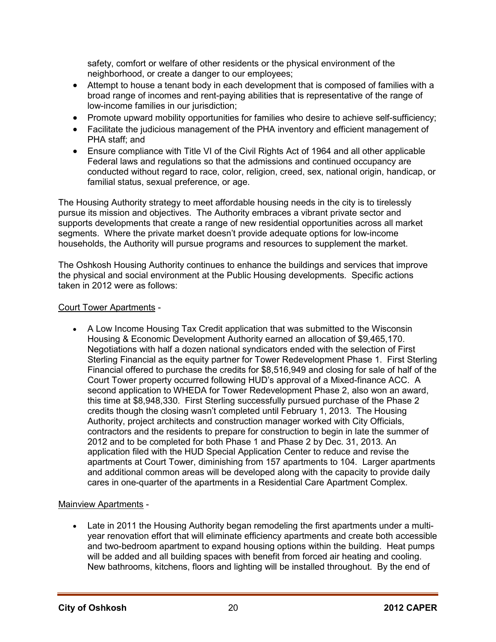safety, comfort or welfare of other residents or the physical environment of the neighborhood, or create a danger to our employees;

- Attempt to house a tenant body in each development that is composed of families with a broad range of incomes and rent-paying abilities that is representative of the range of low-income families in our jurisdiction;
- Promote upward mobility opportunities for families who desire to achieve self-sufficiency;
- Facilitate the judicious management of the PHA inventory and efficient management of PHA staff; and
- Ensure compliance with Title VI of the Civil Rights Act of 1964 and all other applicable Federal laws and regulations so that the admissions and continued occupancy are conducted without regard to race, color, religion, creed, sex, national origin, handicap, or familial status, sexual preference, or age.

The Housing Authority strategy to meet affordable housing needs in the city is to tirelessly pursue its mission and objectives. The Authority embraces a vibrant private sector and supports developments that create a range of new residential opportunities across all market segments. Where the private market doesn't provide adequate options for low-income households, the Authority will pursue programs and resources to supplement the market.

The Oshkosh Housing Authority continues to enhance the buildings and services that improve the physical and social environment at the Public Housing developments. Specific actions taken in 2012 were as follows:

# Court Tower Apartments -

• A Low Income Housing Tax Credit application that was submitted to the Wisconsin Housing & Economic Development Authority earned an allocation of \$9,465,170. Negotiations with half a dozen national syndicators ended with the selection of First Sterling Financial as the equity partner for Tower Redevelopment Phase 1. First Sterling Financial offered to purchase the credits for \$8,516,949 and closing for sale of half of the Court Tower property occurred following HUD's approval of a Mixed-finance ACC. A second application to WHEDA for Tower Redevelopment Phase 2, also won an award, this time at \$8,948,330. First Sterling successfully pursued purchase of the Phase 2 credits though the closing wasn't completed until February 1, 2013. The Housing Authority, project architects and construction manager worked with City Officials, contractors and the residents to prepare for construction to begin in late the summer of 2012 and to be completed for both Phase 1 and Phase 2 by Dec. 31, 2013. An application filed with the HUD Special Application Center to reduce and revise the apartments at Court Tower, diminishing from 157 apartments to 104. Larger apartments and additional common areas will be developed along with the capacity to provide daily cares in one-quarter of the apartments in a Residential Care Apartment Complex.

# Mainview Apartments -

• Late in 2011 the Housing Authority began remodeling the first apartments under a multiyear renovation effort that will eliminate efficiency apartments and create both accessible and two-bedroom apartment to expand housing options within the building. Heat pumps will be added and all building spaces with benefit from forced air heating and cooling. New bathrooms, kitchens, floors and lighting will be installed throughout. By the end of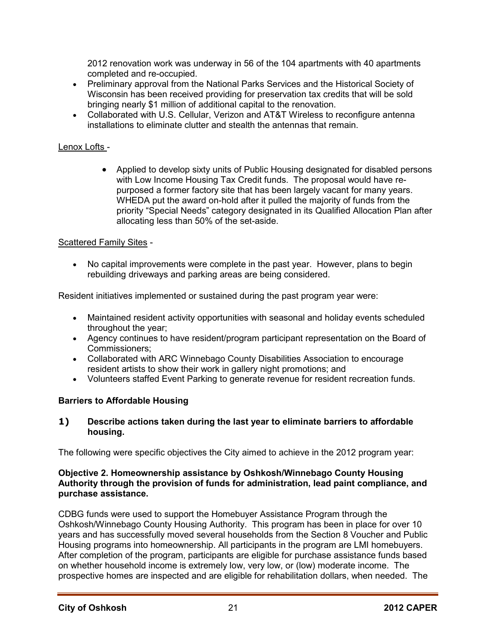2012 renovation work was underway in 56 of the 104 apartments with 40 apartments completed and re-occupied.

- Preliminary approval from the National Parks Services and the Historical Society of Wisconsin has been received providing for preservation tax credits that will be sold bringing nearly \$1 million of additional capital to the renovation.
- Collaborated with U.S. Cellular, Verizon and AT&T Wireless to reconfigure antenna installations to eliminate clutter and stealth the antennas that remain.

# Lenox Lofts -

• Applied to develop sixty units of Public Housing designated for disabled persons with Low Income Housing Tax Credit funds. The proposal would have repurposed a former factory site that has been largely vacant for many years. WHEDA put the award on-hold after it pulled the majority of funds from the priority "Special Needs" category designated in its Qualified Allocation Plan after allocating less than 50% of the set-aside.

# Scattered Family Sites -

• No capital improvements were complete in the past year. However, plans to begin rebuilding driveways and parking areas are being considered.

Resident initiatives implemented or sustained during the past program year were:

- Maintained resident activity opportunities with seasonal and holiday events scheduled throughout the year;
- Agency continues to have resident/program participant representation on the Board of Commissioners;
- Collaborated with ARC Winnebago County Disabilities Association to encourage resident artists to show their work in gallery night promotions; and
- Volunteers staffed Event Parking to generate revenue for resident recreation funds.

# **Barriers to Affordable Housing**

# **1) Describe actions taken during the last year to eliminate barriers to affordable housing.**

The following were specific objectives the City aimed to achieve in the 2012 program year:

#### **Objective 2. Homeownership assistance by Oshkosh/Winnebago County Housing Authority through the provision of funds for administration, lead paint compliance, and purchase assistance.**

CDBG funds were used to support the Homebuyer Assistance Program through the Oshkosh/Winnebago County Housing Authority. This program has been in place for over 10 years and has successfully moved several households from the Section 8 Voucher and Public Housing programs into homeownership. All participants in the program are LMI homebuyers. After completion of the program, participants are eligible for purchase assistance funds based on whether household income is extremely low, very low, or (low) moderate income. The prospective homes are inspected and are eligible for rehabilitation dollars, when needed. The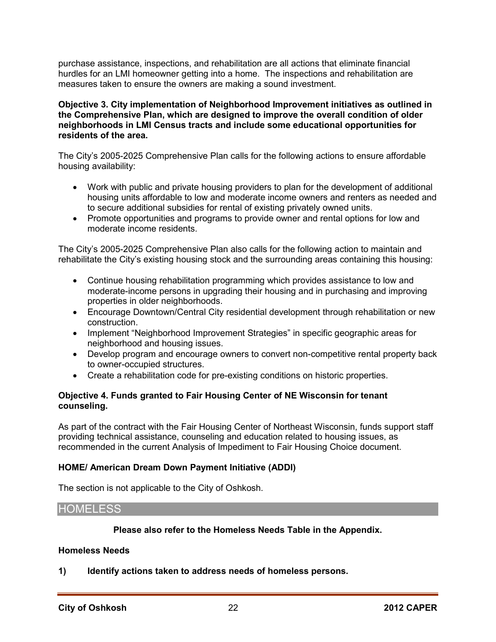purchase assistance, inspections, and rehabilitation are all actions that eliminate financial hurdles for an LMI homeowner getting into a home. The inspections and rehabilitation are measures taken to ensure the owners are making a sound investment.

#### **Objective 3. City implementation of Neighborhood Improvement initiatives as outlined in the Comprehensive Plan, which are designed to improve the overall condition of older neighborhoods in LMI Census tracts and include some educational opportunities for residents of the area.**

The City's 2005-2025 Comprehensive Plan calls for the following actions to ensure affordable housing availability:

- Work with public and private housing providers to plan for the development of additional housing units affordable to low and moderate income owners and renters as needed and to secure additional subsidies for rental of existing privately owned units.
- Promote opportunities and programs to provide owner and rental options for low and moderate income residents.

The City's 2005-2025 Comprehensive Plan also calls for the following action to maintain and rehabilitate the City's existing housing stock and the surrounding areas containing this housing:

- Continue housing rehabilitation programming which provides assistance to low and moderate-income persons in upgrading their housing and in purchasing and improving properties in older neighborhoods.
- Encourage Downtown/Central City residential development through rehabilitation or new construction.
- Implement "Neighborhood Improvement Strategies" in specific geographic areas for neighborhood and housing issues.
- Develop program and encourage owners to convert non-competitive rental property back to owner-occupied structures.
- Create a rehabilitation code for pre-existing conditions on historic properties.

# **Objective 4. Funds granted to Fair Housing Center of NE Wisconsin for tenant counseling.**

As part of the contract with the Fair Housing Center of Northeast Wisconsin, funds support staff providing technical assistance, counseling and education related to housing issues, as recommended in the current Analysis of Impediment to Fair Housing Choice document.

# **HOME/ American Dream Down Payment Initiative (ADDI)**

The section is not applicable to the City of Oshkosh.

# HOMELESS

#### **Please also refer to the Homeless Needs Table in the Appendix.**

#### **Homeless Needs**

**1) Identify actions taken to address needs of homeless persons.**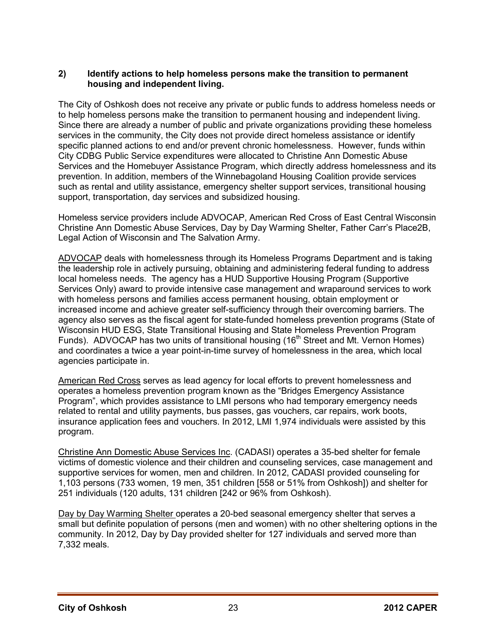# **2) Identify actions to help homeless persons make the transition to permanent housing and independent living.**

The City of Oshkosh does not receive any private or public funds to address homeless needs or to help homeless persons make the transition to permanent housing and independent living. Since there are already a number of public and private organizations providing these homeless services in the community, the City does not provide direct homeless assistance or identify specific planned actions to end and/or prevent chronic homelessness. However, funds within City CDBG Public Service expenditures were allocated to Christine Ann Domestic Abuse Services and the Homebuyer Assistance Program, which directly address homelessness and its prevention. In addition, members of the Winnebagoland Housing Coalition provide services such as rental and utility assistance, emergency shelter support services, transitional housing support, transportation, day services and subsidized housing.

Homeless service providers include ADVOCAP, American Red Cross of East Central Wisconsin Christine Ann Domestic Abuse Services, Day by Day Warming Shelter, Father Carr's Place2B, Legal Action of Wisconsin and The Salvation Army.

ADVOCAP deals with homelessness through its Homeless Programs Department and is taking the leadership role in actively pursuing, obtaining and administering federal funding to address local homeless needs. The agency has a HUD Supportive Housing Program (Supportive Services Only) award to provide intensive case management and wraparound services to work with homeless persons and families access permanent housing, obtain employment or increased income and achieve greater self-sufficiency through their overcoming barriers. The agency also serves as the fiscal agent for state-funded homeless prevention programs (State of Wisconsin HUD ESG, State Transitional Housing and State Homeless Prevention Program Funds). ADVOCAP has two units of transitional housing (16<sup>th</sup> Street and Mt. Vernon Homes) and coordinates a twice a year point-in-time survey of homelessness in the area, which local agencies participate in.

American Red Cross serves as lead agency for local efforts to prevent homelessness and operates a homeless prevention program known as the "Bridges Emergency Assistance Program", which provides assistance to LMI persons who had temporary emergency needs related to rental and utility payments, bus passes, gas vouchers, car repairs, work boots, insurance application fees and vouchers. In 2012, LMI 1,974 individuals were assisted by this program.

Christine Ann Domestic Abuse Services Inc. (CADASI) operates a 35-bed shelter for female victims of domestic violence and their children and counseling services, case management and supportive services for women, men and children. In 2012, CADASI provided counseling for 1,103 persons (733 women, 19 men, 351 children [558 or 51% from Oshkosh]) and shelter for 251 individuals (120 adults, 131 children [242 or 96% from Oshkosh).

Day by Day Warming Shelter operates a 20-bed seasonal emergency shelter that serves a small but definite population of persons (men and women) with no other sheltering options in the community. In 2012, Day by Day provided shelter for 127 individuals and served more than 7,332 meals.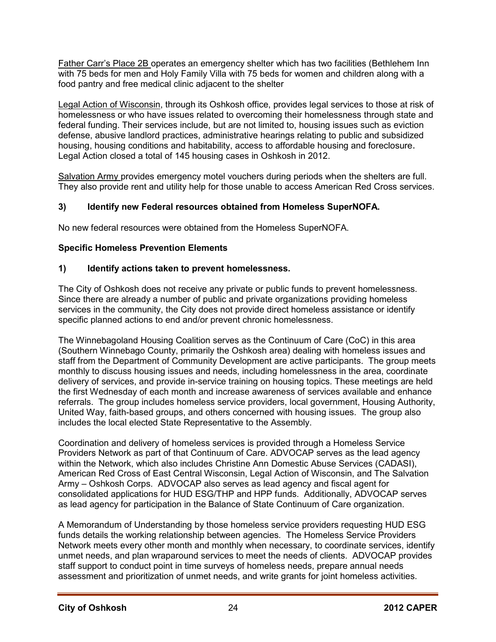Father Carr's Place 2B operates an emergency shelter which has two facilities (Bethlehem Inn with 75 beds for men and Holy Family Villa with 75 beds for women and children along with a food pantry and free medical clinic adjacent to the shelter

Legal Action of Wisconsin, through its Oshkosh office, provides legal services to those at risk of homelessness or who have issues related to overcoming their homelessness through state and federal funding. Their services include, but are not limited to, housing issues such as eviction defense, abusive landlord practices, administrative hearings relating to public and subsidized housing, housing conditions and habitability, access to affordable housing and foreclosure. Legal Action closed a total of 145 housing cases in Oshkosh in 2012.

Salvation Army provides emergency motel vouchers during periods when the shelters are full. They also provide rent and utility help for those unable to access American Red Cross services.

# **3) Identify new Federal resources obtained from Homeless SuperNOFA.**

No new federal resources were obtained from the Homeless SuperNOFA.

# **Specific Homeless Prevention Elements**

# **1) Identify actions taken to prevent homelessness.**

The City of Oshkosh does not receive any private or public funds to prevent homelessness. Since there are already a number of public and private organizations providing homeless services in the community, the City does not provide direct homeless assistance or identify specific planned actions to end and/or prevent chronic homelessness.

The Winnebagoland Housing Coalition serves as the Continuum of Care (CoC) in this area (Southern Winnebago County, primarily the Oshkosh area) dealing with homeless issues and staff from the Department of Community Development are active participants. The group meets monthly to discuss housing issues and needs, including homelessness in the area, coordinate delivery of services, and provide in-service training on housing topics. These meetings are held the first Wednesday of each month and increase awareness of services available and enhance referrals. The group includes homeless service providers, local government, Housing Authority, United Way, faith-based groups, and others concerned with housing issues. The group also includes the local elected State Representative to the Assembly.

Coordination and delivery of homeless services is provided through a Homeless Service Providers Network as part of that Continuum of Care. ADVOCAP serves as the lead agency within the Network, which also includes Christine Ann Domestic Abuse Services (CADASI), American Red Cross of East Central Wisconsin, Legal Action of Wisconsin, and The Salvation Army – Oshkosh Corps. ADVOCAP also serves as lead agency and fiscal agent for consolidated applications for HUD ESG/THP and HPP funds. Additionally, ADVOCAP serves as lead agency for participation in the Balance of State Continuum of Care organization.

A Memorandum of Understanding by those homeless service providers requesting HUD ESG funds details the working relationship between agencies*.* The Homeless Service Providers Network meets every other month and monthly when necessary, to coordinate services, identify unmet needs, and plan wraparound services to meet the needs of clients. ADVOCAP provides staff support to conduct point in time surveys of homeless needs, prepare annual needs assessment and prioritization of unmet needs, and write grants for joint homeless activities.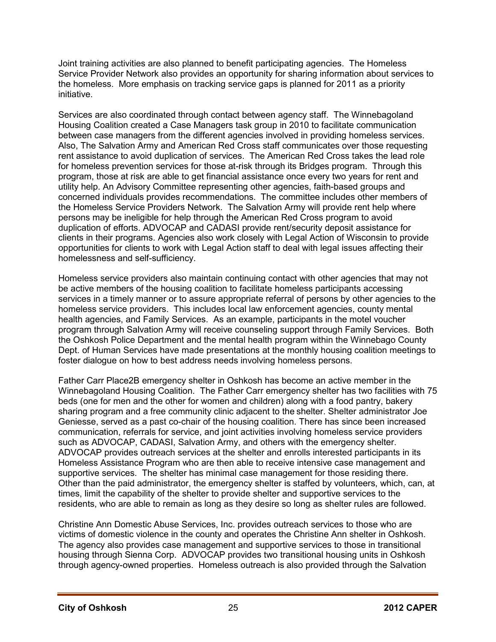Joint training activities are also planned to benefit participating agencies. The Homeless Service Provider Network also provides an opportunity for sharing information about services to the homeless. More emphasis on tracking service gaps is planned for 2011 as a priority initiative.

Services are also coordinated through contact between agency staff. The Winnebagoland Housing Coalition created a Case Managers task group in 2010 to facilitate communication between case managers from the different agencies involved in providing homeless services. Also, The Salvation Army and American Red Cross staff communicates over those requesting rent assistance to avoid duplication of services. The American Red Cross takes the lead role for homeless prevention services for those at-risk through its Bridges program. Through this program, those at risk are able to get financial assistance once every two years for rent and utility help. An Advisory Committee representing other agencies, faith-based groups and concerned individuals provides recommendations. The committee includes other members of the Homeless Service Providers Network. The Salvation Army will provide rent help where persons may be ineligible for help through the American Red Cross program to avoid duplication of efforts. ADVOCAP and CADASI provide rent/security deposit assistance for clients in their programs. Agencies also work closely with Legal Action of Wisconsin to provide opportunities for clients to work with Legal Action staff to deal with legal issues affecting their homelessness and self-sufficiency.

Homeless service providers also maintain continuing contact with other agencies that may not be active members of the housing coalition to facilitate homeless participants accessing services in a timely manner or to assure appropriate referral of persons by other agencies to the homeless service providers. This includes local law enforcement agencies, county mental health agencies, and Family Services. As an example, participants in the motel voucher program through Salvation Army will receive counseling support through Family Services. Both the Oshkosh Police Department and the mental health program within the Winnebago County Dept. of Human Services have made presentations at the monthly housing coalition meetings to foster dialogue on how to best address needs involving homeless persons.

Father Carr Place2B emergency shelter in Oshkosh has become an active member in the Winnebagoland Housing Coalition. The Father Carr emergency shelter has two facilities with 75 beds (one for men and the other for women and children) along with a food pantry, bakery sharing program and a free community clinic adjacent to the shelter. Shelter administrator Joe Geniesse, served as a past co-chair of the housing coalition. There has since been increased communication, referrals for service, and joint activities involving homeless service providers such as ADVOCAP, CADASI, Salvation Army, and others with the emergency shelter. ADVOCAP provides outreach services at the shelter and enrolls interested participants in its Homeless Assistance Program who are then able to receive intensive case management and supportive services. The shelter has minimal case management for those residing there. Other than the paid administrator, the emergency shelter is staffed by volunteers, which, can, at times, limit the capability of the shelter to provide shelter and supportive services to the residents, who are able to remain as long as they desire so long as shelter rules are followed.

Christine Ann Domestic Abuse Services, Inc. provides outreach services to those who are victims of domestic violence in the county and operates the Christine Ann shelter in Oshkosh. The agency also provides case management and supportive services to those in transitional housing through Sienna Corp. ADVOCAP provides two transitional housing units in Oshkosh through agency-owned properties. Homeless outreach is also provided through the Salvation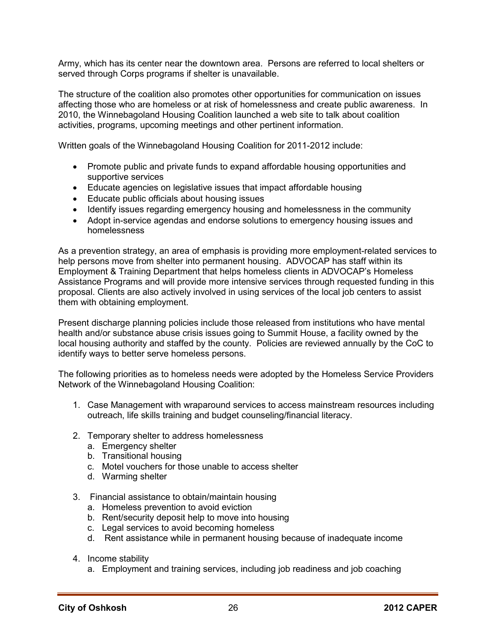Army, which has its center near the downtown area. Persons are referred to local shelters or served through Corps programs if shelter is unavailable.

The structure of the coalition also promotes other opportunities for communication on issues affecting those who are homeless or at risk of homelessness and create public awareness. In 2010, the Winnebagoland Housing Coalition launched a web site to talk about coalition activities, programs, upcoming meetings and other pertinent information.

Written goals of the Winnebagoland Housing Coalition for 2011-2012 include:

- Promote public and private funds to expand affordable housing opportunities and supportive services
- Educate agencies on legislative issues that impact affordable housing
- Educate public officials about housing issues
- Identify issues regarding emergency housing and homelessness in the community
- Adopt in-service agendas and endorse solutions to emergency housing issues and homelessness

As a prevention strategy, an area of emphasis is providing more employment-related services to help persons move from shelter into permanent housing. ADVOCAP has staff within its Employment & Training Department that helps homeless clients in ADVOCAP's Homeless Assistance Programs and will provide more intensive services through requested funding in this proposal. Clients are also actively involved in using services of the local job centers to assist them with obtaining employment.

Present discharge planning policies include those released from institutions who have mental health and/or substance abuse crisis issues going to Summit House, a facility owned by the local housing authority and staffed by the county. Policies are reviewed annually by the CoC to identify ways to better serve homeless persons.

The following priorities as to homeless needs were adopted by the Homeless Service Providers Network of the Winnebagoland Housing Coalition:

- 1. Case Management with wraparound services to access mainstream resources including outreach, life skills training and budget counseling/financial literacy.
- 2. Temporary shelter to address homelessness
	- a. Emergency shelter
	- b. Transitional housing
	- c. Motel vouchers for those unable to access shelter
	- d. Warming shelter
- 3. Financial assistance to obtain/maintain housing
	- a. Homeless prevention to avoid eviction
	- b. Rent/security deposit help to move into housing
	- c. Legal services to avoid becoming homeless
	- d. Rent assistance while in permanent housing because of inadequate income
- 4. Income stability
	- a. Employment and training services, including job readiness and job coaching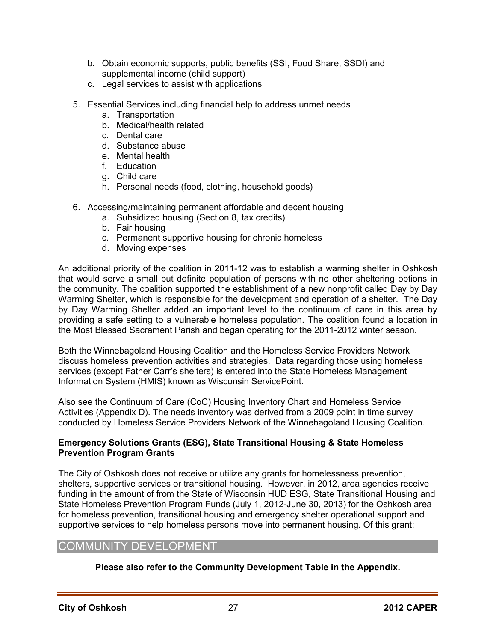- b. Obtain economic supports, public benefits (SSI, Food Share, SSDI) and supplemental income (child support)
- c. Legal services to assist with applications
- 5. Essential Services including financial help to address unmet needs
	- a. Transportation
	- b. Medical/health related
	- c. Dental care
	- d. Substance abuse
	- e. Mental health
	- f. Education
	- g. Child care
	- h. Personal needs (food, clothing, household goods)
- 6. Accessing/maintaining permanent affordable and decent housing
	- a. Subsidized housing (Section 8, tax credits)
	- b. Fair housing
	- c. Permanent supportive housing for chronic homeless
	- d. Moving expenses

An additional priority of the coalition in 2011-12 was to establish a warming shelter in Oshkosh that would serve a small but definite population of persons with no other sheltering options in the community. The coalition supported the establishment of a new nonprofit called Day by Day Warming Shelter, which is responsible for the development and operation of a shelter. The Day by Day Warming Shelter added an important level to the continuum of care in this area by providing a safe setting to a vulnerable homeless population. The coalition found a location in the Most Blessed Sacrament Parish and began operating for the 2011-2012 winter season.

Both the Winnebagoland Housing Coalition and the Homeless Service Providers Network discuss homeless prevention activities and strategies. Data regarding those using homeless services (except Father Carr's shelters) is entered into the State Homeless Management Information System (HMIS) known as Wisconsin ServicePoint.

Also see the Continuum of Care (CoC) Housing Inventory Chart and Homeless Service Activities (Appendix D). The needs inventory was derived from a 2009 point in time survey conducted by Homeless Service Providers Network of the Winnebagoland Housing Coalition.

#### **Emergency Solutions Grants (ESG), State Transitional Housing & State Homeless Prevention Program Grants**

The City of Oshkosh does not receive or utilize any grants for homelessness prevention, shelters, supportive services or transitional housing. However, in 2012, area agencies receive funding in the amount of from the State of Wisconsin HUD ESG, State Transitional Housing and State Homeless Prevention Program Funds (July 1, 2012-June 30, 2013) for the Oshkosh area for homeless prevention, transitional housing and emergency shelter operational support and supportive services to help homeless persons move into permanent housing. Of this grant:

# COMMUNITY DEVELOPMENT

**Please also refer to the Community Development Table in the Appendix.**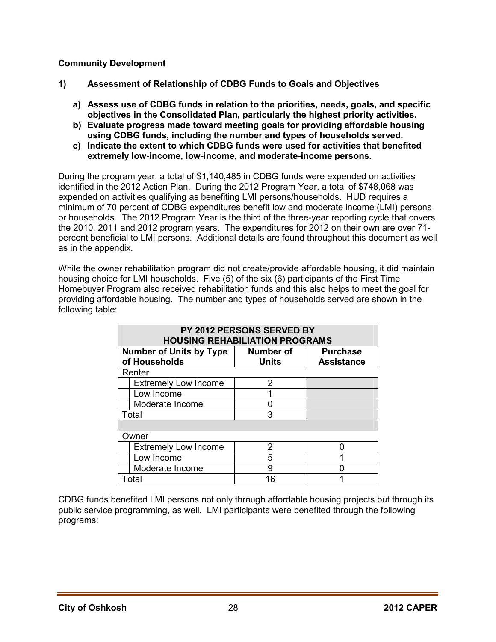# **Community Development**

- **1) Assessment of Relationship of CDBG Funds to Goals and Objectives** 
	- **a) Assess use of CDBG funds in relation to the priorities, needs, goals, and specific objectives in the Consolidated Plan, particularly the highest priority activities.**
	- **b) Evaluate progress made toward meeting goals for providing affordable housing using CDBG funds, including the number and types of households served.**
	- **c) Indicate the extent to which CDBG funds were used for activities that benefited extremely low-income, low-income, and moderate-income persons.**

During the program year, a total of \$1,140,485 in CDBG funds were expended on activities identified in the 2012 Action Plan. During the 2012 Program Year, a total of \$748,068 was expended on activities qualifying as benefiting LMI persons/households. HUD requires a minimum of 70 percent of CDBG expenditures benefit low and moderate income (LMI) persons or households. The 2012 Program Year is the third of the three-year reporting cycle that covers the 2010, 2011 and 2012 program years. The expenditures for 2012 on their own are over 71 percent beneficial to LMI persons. Additional details are found throughout this document as well as in the appendix.

While the owner rehabilitation program did not create/provide affordable housing, it did maintain housing choice for LMI households. Five (5) of the six (6) participants of the First Time Homebuyer Program also received rehabilitation funds and this also helps to meet the goal for providing affordable housing. The number and types of households served are shown in the following table:

|  | PY 2012 PERSONS SERVED BY<br><b>HOUSING REHABILIATION PROGRAMS</b> |                  |                   |  |  |
|--|--------------------------------------------------------------------|------------------|-------------------|--|--|
|  | <b>Number of Units by Type</b>                                     | <b>Number of</b> | <b>Purchase</b>   |  |  |
|  | of Households                                                      | <b>Units</b>     | <b>Assistance</b> |  |  |
|  | Renter                                                             |                  |                   |  |  |
|  | <b>Extremely Low Income</b>                                        | 2                |                   |  |  |
|  | Low Income                                                         |                  |                   |  |  |
|  | Moderate Income                                                    |                  |                   |  |  |
|  | Total                                                              | 3                |                   |  |  |
|  |                                                                    |                  |                   |  |  |
|  | Owner                                                              |                  |                   |  |  |
|  | <b>Extremely Low Income</b>                                        | 2                |                   |  |  |
|  | Low Income                                                         | 5                |                   |  |  |
|  | Moderate Income                                                    | 9                |                   |  |  |
|  | Total                                                              | 16               |                   |  |  |

CDBG funds benefited LMI persons not only through affordable housing projects but through its public service programming, as well. LMI participants were benefited through the following programs: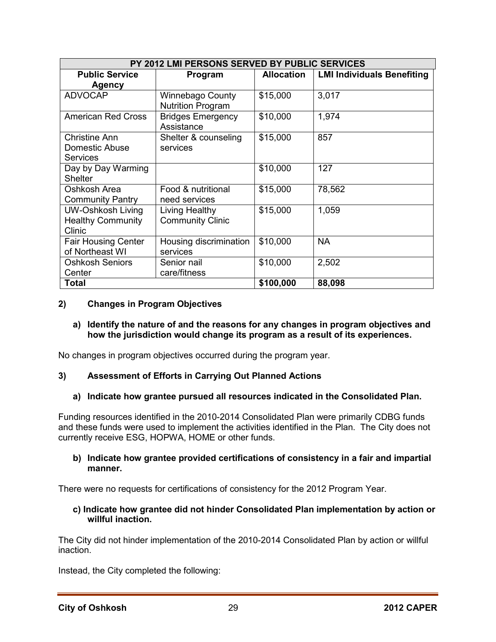| PY 2012 LMI PERSONS SERVED BY PUBLIC SERVICES                  |                                              |                   |                                   |  |  |
|----------------------------------------------------------------|----------------------------------------------|-------------------|-----------------------------------|--|--|
| <b>Public Service</b><br><b>Agency</b>                         | Program                                      | <b>Allocation</b> | <b>LMI Individuals Benefiting</b> |  |  |
| <b>ADVOCAP</b>                                                 | Winnebago County<br><b>Nutrition Program</b> | \$15,000          | 3,017                             |  |  |
| <b>American Red Cross</b>                                      | <b>Bridges Emergency</b><br>Assistance       | \$10,000          | 1,974                             |  |  |
| <b>Christine Ann</b><br>Domestic Abuse<br><b>Services</b>      | Shelter & counseling<br>services             | \$15,000          | 857                               |  |  |
| Day by Day Warming<br><b>Shelter</b>                           |                                              | \$10,000          | 127                               |  |  |
| Oshkosh Area<br><b>Community Pantry</b>                        | Food & nutritional<br>need services          | \$15,000          | 78,562                            |  |  |
| <b>UW-Oshkosh Living</b><br><b>Healthy Community</b><br>Clinic | Living Healthy<br><b>Community Clinic</b>    | \$15,000          | 1,059                             |  |  |
| <b>Fair Housing Center</b><br>of Northeast WI                  | Housing discrimination<br>services           | \$10,000          | <b>NA</b>                         |  |  |
| <b>Oshkosh Seniors</b><br>Center                               | Senior nail<br>care/fitness                  | \$10,000          | 2,502                             |  |  |
| <b>Total</b>                                                   |                                              | \$100,000         | 88,098                            |  |  |

# **2) Changes in Program Objectives**

#### **a) Identify the nature of and the reasons for any changes in program objectives and how the jurisdiction would change its program as a result of its experiences.**

No changes in program objectives occurred during the program year.

#### **3) Assessment of Efforts in Carrying Out Planned Actions**

#### **a) Indicate how grantee pursued all resources indicated in the Consolidated Plan.**

Funding resources identified in the 2010-2014 Consolidated Plan were primarily CDBG funds and these funds were used to implement the activities identified in the Plan. The City does not currently receive ESG, HOPWA, HOME or other funds.

#### **b) Indicate how grantee provided certifications of consistency in a fair and impartial manner.**

There were no requests for certifications of consistency for the 2012 Program Year.

#### **c) Indicate how grantee did not hinder Consolidated Plan implementation by action or willful inaction.**

The City did not hinder implementation of the 2010-2014 Consolidated Plan by action or willful inaction.

Instead, the City completed the following: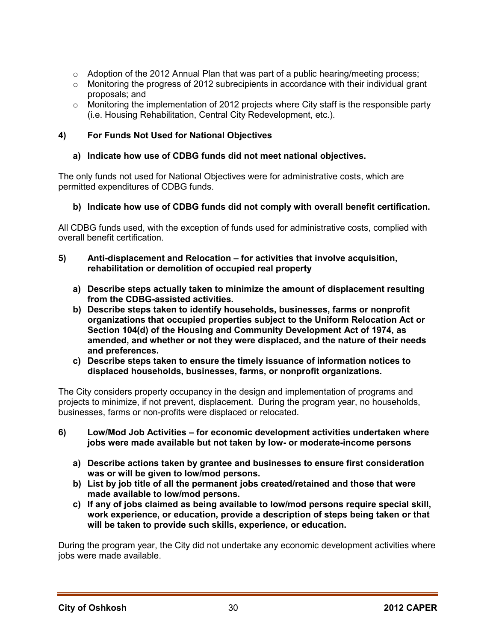- $\circ$  Adoption of the 2012 Annual Plan that was part of a public hearing/meeting process;
- $\circ$  Monitoring the progress of 2012 subrecipients in accordance with their individual grant proposals; and
- $\circ$  Monitoring the implementation of 2012 projects where City staff is the responsible party (i.e. Housing Rehabilitation, Central City Redevelopment, etc.).

# **4) For Funds Not Used for National Objectives**

# **a) Indicate how use of CDBG funds did not meet national objectives.**

The only funds not used for National Objectives were for administrative costs, which are permitted expenditures of CDBG funds.

# **b) Indicate how use of CDBG funds did not comply with overall benefit certification.**

All CDBG funds used, with the exception of funds used for administrative costs, complied with overall benefit certification.

#### **5) Anti-displacement and Relocation – for activities that involve acquisition, rehabilitation or demolition of occupied real property**

- **a) Describe steps actually taken to minimize the amount of displacement resulting from the CDBG-assisted activities.**
- **b) Describe steps taken to identify households, businesses, farms or nonprofit organizations that occupied properties subject to the Uniform Relocation Act or Section 104(d) of the Housing and Community Development Act of 1974, as amended, and whether or not they were displaced, and the nature of their needs and preferences.**
- **c) Describe steps taken to ensure the timely issuance of information notices to displaced households, businesses, farms, or nonprofit organizations.**

The City considers property occupancy in the design and implementation of programs and projects to minimize, if not prevent, displacement. During the program year, no households, businesses, farms or non-profits were displaced or relocated.

- **6) Low/Mod Job Activities for economic development activities undertaken where jobs were made available but not taken by low- or moderate-income persons** 
	- **a) Describe actions taken by grantee and businesses to ensure first consideration was or will be given to low/mod persons.**
	- **b) List by job title of all the permanent jobs created/retained and those that were made available to low/mod persons.**
	- **c) If any of jobs claimed as being available to low/mod persons require special skill, work experience, or education, provide a description of steps being taken or that will be taken to provide such skills, experience, or education.**

During the program year, the City did not undertake any economic development activities where jobs were made available.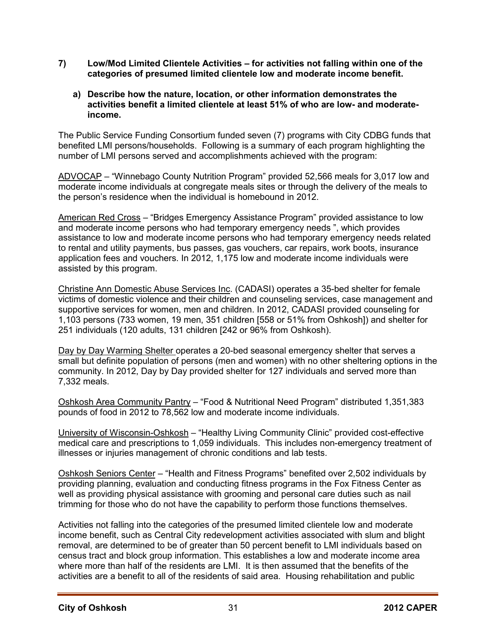- **7) Low/Mod Limited Clientele Activities for activities not falling within one of the categories of presumed limited clientele low and moderate income benefit.** 
	- **a) Describe how the nature, location, or other information demonstrates the activities benefit a limited clientele at least 51% of who are low- and moderateincome.**

The Public Service Funding Consortium funded seven (7) programs with City CDBG funds that benefited LMI persons/households. Following is a summary of each program highlighting the number of LMI persons served and accomplishments achieved with the program:

ADVOCAP – "Winnebago County Nutrition Program" provided 52,566 meals for 3,017 low and moderate income individuals at congregate meals sites or through the delivery of the meals to the person's residence when the individual is homebound in 2012.

American Red Cross – "Bridges Emergency Assistance Program" provided assistance to low and moderate income persons who had temporary emergency needs ", which provides assistance to low and moderate income persons who had temporary emergency needs related to rental and utility payments, bus passes, gas vouchers, car repairs, work boots, insurance application fees and vouchers. In 2012, 1,175 low and moderate income individuals were assisted by this program.

Christine Ann Domestic Abuse Services Inc. (CADASI) operates a 35-bed shelter for female victims of domestic violence and their children and counseling services, case management and supportive services for women, men and children. In 2012, CADASI provided counseling for 1,103 persons (733 women, 19 men, 351 children [558 or 51% from Oshkosh]) and shelter for 251 individuals (120 adults, 131 children [242 or 96% from Oshkosh).

Day by Day Warming Shelter operates a 20-bed seasonal emergency shelter that serves a small but definite population of persons (men and women) with no other sheltering options in the community. In 2012, Day by Day provided shelter for 127 individuals and served more than 7,332 meals.

Oshkosh Area Community Pantry – "Food & Nutritional Need Program" distributed 1,351,383 pounds of food in 2012 to 78,562 low and moderate income individuals.

University of Wisconsin-Oshkosh – "Healthy Living Community Clinic" provided cost-effective medical care and prescriptions to 1,059 individuals. This includes non-emergency treatment of illnesses or injuries management of chronic conditions and lab tests.

Oshkosh Seniors Center – "Health and Fitness Programs" benefited over 2,502 individuals by providing planning, evaluation and conducting fitness programs in the Fox Fitness Center as well as providing physical assistance with grooming and personal care duties such as nail trimming for those who do not have the capability to perform those functions themselves.

Activities not falling into the categories of the presumed limited clientele low and moderate income benefit, such as Central City redevelopment activities associated with slum and blight removal, are determined to be of greater than 50 percent benefit to LMI individuals based on census tract and block group information. This establishes a low and moderate income area where more than half of the residents are LMI. It is then assumed that the benefits of the activities are a benefit to all of the residents of said area. Housing rehabilitation and public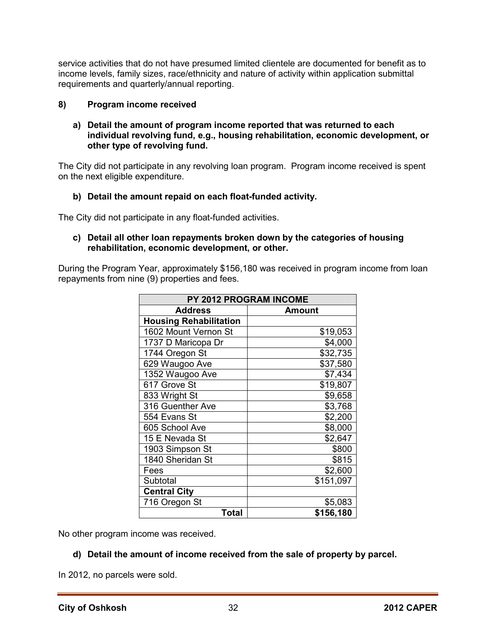service activities that do not have presumed limited clientele are documented for benefit as to income levels, family sizes, race/ethnicity and nature of activity within application submittal requirements and quarterly/annual reporting.

# **8) Program income received**

#### **a) Detail the amount of program income reported that was returned to each individual revolving fund, e.g., housing rehabilitation, economic development, or other type of revolving fund.**

The City did not participate in any revolving loan program. Program income received is spent on the next eligible expenditure.

# **b) Detail the amount repaid on each float-funded activity.**

The City did not participate in any float-funded activities.

#### **c) Detail all other loan repayments broken down by the categories of housing rehabilitation, economic development, or other.**

During the Program Year, approximately \$156,180 was received in program income from loan repayments from nine (9) properties and fees.

| <b>PY 2012 PROGRAM INCOME</b> |           |  |  |  |
|-------------------------------|-----------|--|--|--|
| <b>Address</b>                | Amount    |  |  |  |
| <b>Housing Rehabilitation</b> |           |  |  |  |
| 1602 Mount Vernon St          | \$19,053  |  |  |  |
| 1737 D Maricopa Dr            | \$4,000   |  |  |  |
| 1744 Oregon St                | \$32,735  |  |  |  |
| 629 Waugoo Ave                | \$37,580  |  |  |  |
| 1352 Waugoo Ave               | \$7,434   |  |  |  |
| 617 Grove St                  | \$19,807  |  |  |  |
| 833 Wright St                 | \$9,658   |  |  |  |
| 316 Guenther Ave              | \$3,768   |  |  |  |
| 554 Evans St                  | \$2,200   |  |  |  |
| 605 School Ave                | \$8,000   |  |  |  |
| 15 E Nevada St                | \$2,647   |  |  |  |
| 1903 Simpson St               | \$800     |  |  |  |
| 1840 Sheridan St              | \$815     |  |  |  |
| Fees                          | \$2,600   |  |  |  |
| Subtotal                      | \$151,097 |  |  |  |
| <b>Central City</b>           |           |  |  |  |
| 716 Oregon St                 | \$5,083   |  |  |  |
| Total                         | \$156,180 |  |  |  |

No other program income was received.

#### **d) Detail the amount of income received from the sale of property by parcel.**

In 2012, no parcels were sold.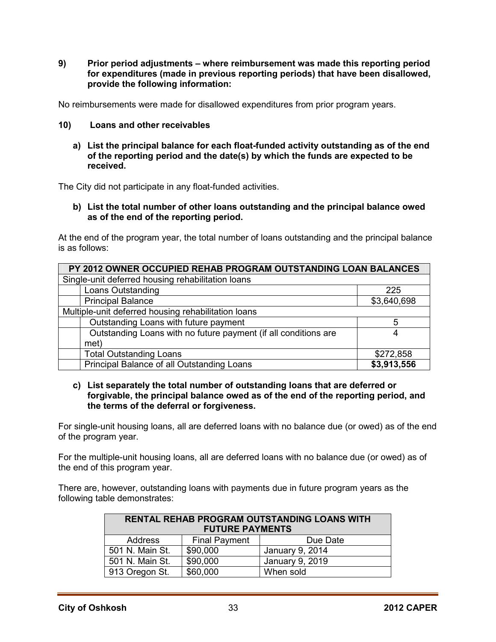**9) Prior period adjustments – where reimbursement was made this reporting period for expenditures (made in previous reporting periods) that have been disallowed, provide the following information:** 

No reimbursements were made for disallowed expenditures from prior program years.

- **10) Loans and other receivables** 
	- **a) List the principal balance for each float-funded activity outstanding as of the end of the reporting period and the date(s) by which the funds are expected to be received.**

The City did not participate in any float-funded activities.

**b) List the total number of other loans outstanding and the principal balance owed as of the end of the reporting period.** 

At the end of the program year, the total number of loans outstanding and the principal balance is as follows:

| PY 2012 OWNER OCCUPIED REHAB PROGRAM OUTSTANDING LOAN BALANCES  |             |  |  |  |
|-----------------------------------------------------------------|-------------|--|--|--|
| Single-unit deferred housing rehabilitation loans               |             |  |  |  |
| Loans Outstanding                                               | 225         |  |  |  |
| <b>Principal Balance</b>                                        | \$3,640,698 |  |  |  |
| Multiple-unit deferred housing rehabilitation loans             |             |  |  |  |
| Outstanding Loans with future payment                           | 5           |  |  |  |
| Outstanding Loans with no future payment (if all conditions are | 4           |  |  |  |
| met)                                                            |             |  |  |  |
| <b>Total Outstanding Loans</b>                                  | \$272,858   |  |  |  |
| Principal Balance of all Outstanding Loans                      | \$3,913,556 |  |  |  |

#### **c) List separately the total number of outstanding loans that are deferred or forgivable, the principal balance owed as of the end of the reporting period, and the terms of the deferral or forgiveness.**

For single-unit housing loans, all are deferred loans with no balance due (or owed) as of the end of the program year.

For the multiple-unit housing loans, all are deferred loans with no balance due (or owed) as of the end of this program year.

There are, however, outstanding loans with payments due in future program years as the following table demonstrates:

| <b>RENTAL REHAB PROGRAM OUTSTANDING LOANS WITH</b><br><b>FUTURE PAYMENTS</b> |                       |                 |  |  |  |
|------------------------------------------------------------------------------|-----------------------|-----------------|--|--|--|
| Address                                                                      | <b>Final Payment</b>  | Due Date        |  |  |  |
| 501 N. Main St.                                                              | \$90,000              | January 9, 2014 |  |  |  |
| 501 N. Main St.                                                              | \$90,000              | January 9, 2019 |  |  |  |
| 913 Oregon St.                                                               | \$60,000<br>When sold |                 |  |  |  |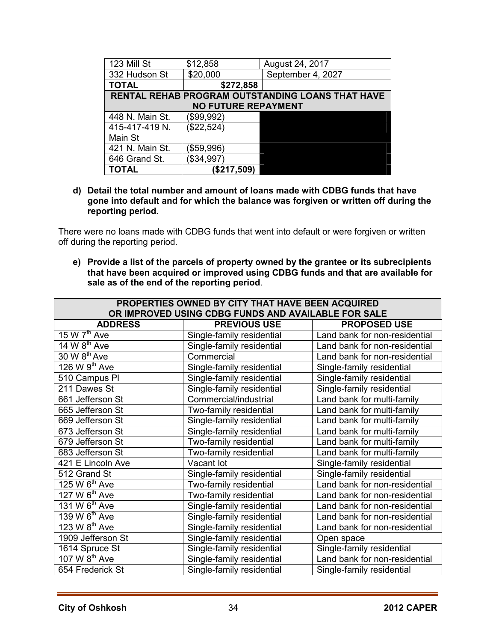| 123 Mill St     | \$12,858                   | August 24, 2017                                  |
|-----------------|----------------------------|--------------------------------------------------|
| 332 Hudson St   | \$20,000                   | September 4, 2027                                |
| <b>TOTAL</b>    | \$272,858                  |                                                  |
|                 |                            | RENTAL REHAB PROGRAM OUTSTANDING LOANS THAT HAVE |
|                 | <b>NO FUTURE REPAYMENT</b> |                                                  |
| 448 N. Main St. | (\$99,992)                 |                                                  |
| 415-417-419 N.  | (\$22,524)                 |                                                  |
| Main St         |                            |                                                  |
| 421 N. Main St. | ( \$59, 996)               |                                                  |
| 646 Grand St.   | (\$34,997)                 |                                                  |
| <b>TOTAL</b>    | (\$217,509)                |                                                  |

**d) Detail the total number and amount of loans made with CDBG funds that have gone into default and for which the balance was forgiven or written off during the reporting period.** 

There were no loans made with CDBG funds that went into default or were forgiven or written off during the reporting period.

**e) Provide a list of the parcels of property owned by the grantee or its subrecipients that have been acquired or improved using CDBG funds and that are available for sale as of the end of the reporting period**.

| PROPERTIES OWNED BY CITY THAT HAVE BEEN ACQUIRED<br>OR IMPROVED USING CDBG FUNDS AND AVAILABLE FOR SALE |                           |                               |  |  |
|---------------------------------------------------------------------------------------------------------|---------------------------|-------------------------------|--|--|
| <b>ADDRESS</b>                                                                                          | <b>PREVIOUS USE</b>       | <b>PROPOSED USE</b>           |  |  |
| 15 W $7th$ Ave                                                                                          | Single-family residential | Land bank for non-residential |  |  |
| 14 W $8^{\text{th}}$ Ave                                                                                | Single-family residential | Land bank for non-residential |  |  |
| $30 \overline{W} 8^{th}$ Ave                                                                            | Commercial                | Land bank for non-residential |  |  |
| 126 W $9th$ Ave                                                                                         | Single-family residential | Single-family residential     |  |  |
| 510 Campus PI                                                                                           | Single-family residential | Single-family residential     |  |  |
| 211 Dawes St                                                                                            | Single-family residential | Single-family residential     |  |  |
| 661 Jefferson St                                                                                        | Commercial/industrial     | Land bank for multi-family    |  |  |
| 665 Jefferson St                                                                                        | Two-family residential    | Land bank for multi-family    |  |  |
| 669 Jefferson St                                                                                        | Single-family residential | Land bank for multi-family    |  |  |
| 673 Jefferson St                                                                                        | Single-family residential | Land bank for multi-family    |  |  |
| 679 Jefferson St                                                                                        | Two-family residential    | Land bank for multi-family    |  |  |
| 683 Jefferson St                                                                                        | Two-family residential    | Land bank for multi-family    |  |  |
| 421 E Lincoln Ave                                                                                       | Vacant lot                | Single-family residential     |  |  |
| 512 Grand St                                                                                            | Single-family residential | Single-family residential     |  |  |
| $125 \,\mathrm{W}$ 6 <sup>th</sup> Ave                                                                  | Two-family residential    | Land bank for non-residential |  |  |
| 127 W 6 <sup>th</sup> Ave                                                                               | Two-family residential    | Land bank for non-residential |  |  |
| 131 W $6^{th}$ Ave                                                                                      | Single-family residential | Land bank for non-residential |  |  |
| 139 W 6 <sup>th</sup> Ave                                                                               | Single-family residential | Land bank for non-residential |  |  |
| 123 W $8th$ Ave                                                                                         | Single-family residential | Land bank for non-residential |  |  |
| 1909 Jefferson St                                                                                       | Single-family residential | Open space                    |  |  |
| 1614 Spruce St                                                                                          | Single-family residential | Single-family residential     |  |  |
| 107 W $8th$ Ave                                                                                         | Single-family residential | Land bank for non-residential |  |  |
| 654 Frederick St                                                                                        | Single-family residential | Single-family residential     |  |  |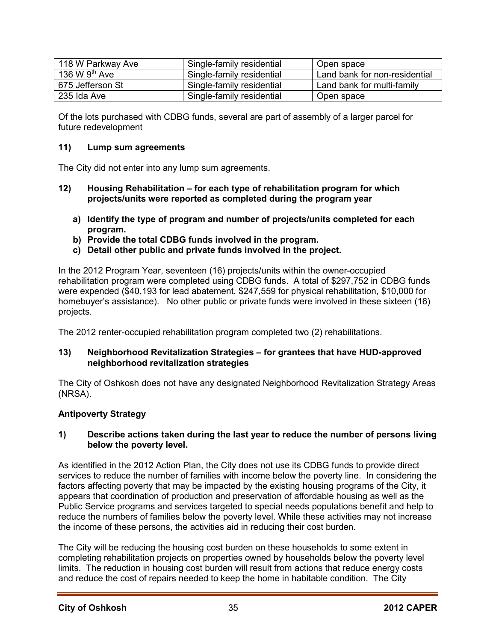| 118 W Parkway Ave | Single-family residential | Open space                    |
|-------------------|---------------------------|-------------------------------|
| 136 W $9th$ Ave   | Single-family residential | Land bank for non-residential |
| 675 Jefferson St  | Single-family residential | Land bank for multi-family    |
| 235 Ida Ave       | Single-family residential | Open space                    |

Of the lots purchased with CDBG funds, several are part of assembly of a larger parcel for future redevelopment

# **11) Lump sum agreements**

The City did not enter into any lump sum agreements.

- **12) Housing Rehabilitation for each type of rehabilitation program for which projects/units were reported as completed during the program year** 
	- **a) Identify the type of program and number of projects/units completed for each program.**
	- **b) Provide the total CDBG funds involved in the program.**
	- **c) Detail other public and private funds involved in the project.**

In the 2012 Program Year, seventeen (16) projects/units within the owner-occupied rehabilitation program were completed using CDBG funds. A total of \$297,752 in CDBG funds were expended (\$40,193 for lead abatement, \$247,559 for physical rehabilitation, \$10,000 for homebuyer's assistance). No other public or private funds were involved in these sixteen (16) projects.

The 2012 renter-occupied rehabilitation program completed two (2) rehabilitations.

#### **13) Neighborhood Revitalization Strategies – for grantees that have HUD-approved neighborhood revitalization strategies**

The City of Oshkosh does not have any designated Neighborhood Revitalization Strategy Areas (NRSA).

# **Antipoverty Strategy**

# **1) Describe actions taken during the last year to reduce the number of persons living below the poverty level.**

As identified in the 2012 Action Plan, the City does not use its CDBG funds to provide direct services to reduce the number of families with income below the poverty line. In considering the factors affecting poverty that may be impacted by the existing housing programs of the City, it appears that coordination of production and preservation of affordable housing as well as the Public Service programs and services targeted to special needs populations benefit and help to reduce the numbers of families below the poverty level. While these activities may not increase the income of these persons, the activities aid in reducing their cost burden.

The City will be reducing the housing cost burden on these households to some extent in completing rehabilitation projects on properties owned by households below the poverty level limits. The reduction in housing cost burden will result from actions that reduce energy costs and reduce the cost of repairs needed to keep the home in habitable condition. The City